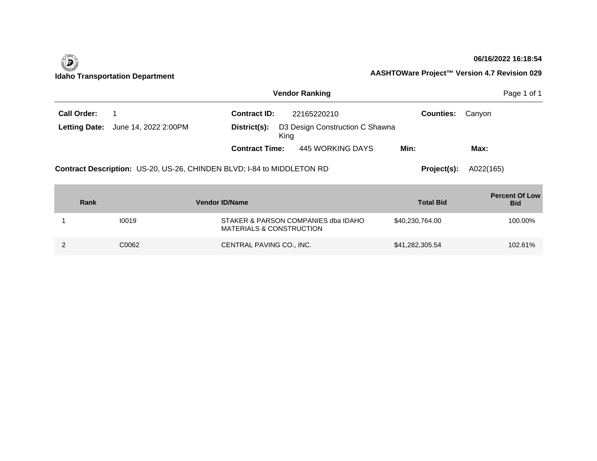

# **06/16/2022 16:18:54**

|                      | <b>Vendor Ranking</b><br>Page 1 of 1                                   |                                     |                                         |                  |                                     |  |  |  |
|----------------------|------------------------------------------------------------------------|-------------------------------------|-----------------------------------------|------------------|-------------------------------------|--|--|--|
| Call Order:          | -1                                                                     | <b>Contract ID:</b>                 | 22165220210                             | <b>Counties:</b> | Canyon                              |  |  |  |
| <b>Letting Date:</b> | June 14, 2022 2:00PM                                                   | District(s):                        | D3 Design Construction C Shawna<br>King |                  |                                     |  |  |  |
|                      |                                                                        | <b>Contract Time:</b>               | 445 WORKING DAYS                        | Min:             | Max:                                |  |  |  |
|                      | Contract Description: US-20, US-26, CHINDEN BLVD; I-84 to MIDDLETON RD | Project(s):                         | A022(165)                               |                  |                                     |  |  |  |
| Rank                 |                                                                        | <b>Vendor ID/Name</b>               |                                         | <b>Total Bid</b> | <b>Percent Of Low</b><br><b>Bid</b> |  |  |  |
|                      | 10019                                                                  | <b>MATERIALS &amp; CONSTRUCTION</b> | STAKER & PARSON COMPANIES dba IDAHO     | \$40,230,764.00  | 100.00%                             |  |  |  |
| 2                    | C0062                                                                  | CENTRAL PAVING CO., INC.            |                                         | \$41,282,305.54  | 102.61%                             |  |  |  |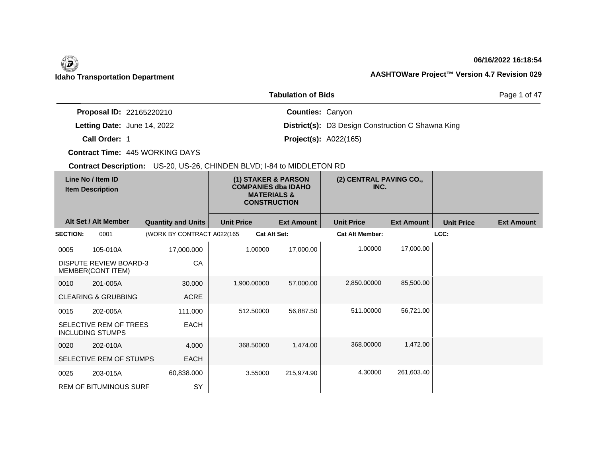## **06/16/2022 16:18:54**

Page 1 of 47

|                                 | TUDUKUUT OL DIUJ                                         |  |
|---------------------------------|----------------------------------------------------------|--|
| <b>Proposal ID: 22165220210</b> | <b>Counties: Canyon</b>                                  |  |
| Letting Date: June 14, 2022     | <b>District(s):</b> D3 Design Construction C Shawna King |  |
| Call Order: 1                   | <b>Project(s): A022(165)</b>                             |  |

**Tabulation of Bids**

**Contract Time:** 445 WORKING DAYS

|                 | Line No / Item ID<br><b>Item Description</b>       |                            |                   | (1) STAKER & PARSON<br><b>COMPANIES dba IDAHO</b><br><b>MATERIALS &amp;</b><br><b>CONSTRUCTION</b> | (2) CENTRAL PAVING CO.,<br>INC. |                   |                   |                   |
|-----------------|----------------------------------------------------|----------------------------|-------------------|----------------------------------------------------------------------------------------------------|---------------------------------|-------------------|-------------------|-------------------|
|                 | Alt Set / Alt Member                               | <b>Quantity and Units</b>  | <b>Unit Price</b> | <b>Ext Amount</b>                                                                                  | <b>Unit Price</b>               | <b>Ext Amount</b> | <b>Unit Price</b> | <b>Ext Amount</b> |
| <b>SECTION:</b> | 0001                                               | (WORK BY CONTRACT A022(165 |                   | <b>Cat Alt Set:</b>                                                                                | <b>Cat Alt Member:</b>          |                   | LCC:              |                   |
| 0005            | 105-010A                                           | 17,000.000                 | 1.00000           | 17,000.00                                                                                          | 1.00000                         | 17,000.00         |                   |                   |
|                 | <b>DISPUTE REVIEW BOARD-3</b><br>MEMBER(CONT ITEM) | CA                         |                   |                                                                                                    |                                 |                   |                   |                   |
| 0010            | 201-005A                                           | 30.000                     | 1,900.00000       | 57,000.00                                                                                          | 2,850.00000                     | 85,500.00         |                   |                   |
|                 | <b>CLEARING &amp; GRUBBING</b>                     | <b>ACRE</b>                |                   |                                                                                                    |                                 |                   |                   |                   |
| 0015            | 202-005A                                           | 111.000                    | 512.50000         | 56,887.50                                                                                          | 511.00000                       | 56,721.00         |                   |                   |
|                 | SELECTIVE REM OF TREES<br><b>INCLUDING STUMPS</b>  | <b>EACH</b>                |                   |                                                                                                    |                                 |                   |                   |                   |
| 0020            | 202-010A                                           | 4.000                      | 368,50000         | 1,474.00                                                                                           | 368,00000                       | 1,472.00          |                   |                   |
|                 | SELECTIVE REM OF STUMPS                            | <b>EACH</b>                |                   |                                                                                                    |                                 |                   |                   |                   |
| 0025            | 203-015A                                           | 60,838.000                 | 3.55000           | 215,974.90                                                                                         | 4.30000                         | 261,603.40        |                   |                   |
|                 | <b>REM OF BITUMINOUS SURF</b>                      | SY                         |                   |                                                                                                    |                                 |                   |                   |                   |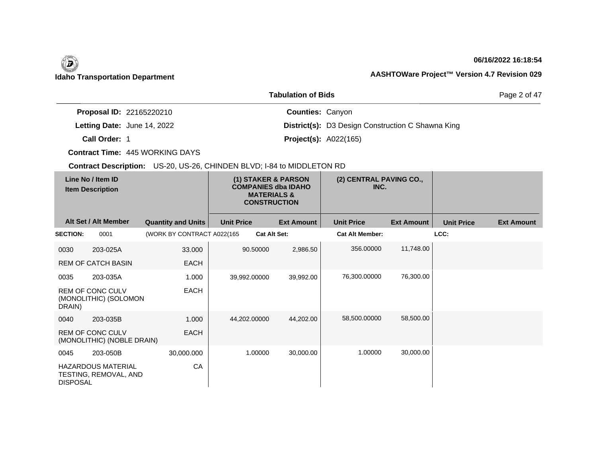## **06/16/2022 16:18:54**

Page 2 of 47

|                                    | <b>Tabulation of Bids</b>                                |
|------------------------------------|----------------------------------------------------------|
| <b>Proposal ID: 22165220210</b>    | <b>Counties: Canyon</b>                                  |
| <b>Letting Date: June 14, 2022</b> | <b>District(s):</b> D3 Design Construction C Shawna King |
| Call Order: 1                      | <b>Project(s): A022(165)</b>                             |

**Contract Time:** 445 WORKING DAYS

|                 | Line No / Item ID<br><b>Item Description</b>          |                            |                   | (1) STAKER & PARSON<br><b>COMPANIES dba IDAHO</b><br><b>MATERIALS &amp;</b><br><b>CONSTRUCTION</b> | (2) CENTRAL PAVING CO.,<br>INC. |                   |                   |                   |
|-----------------|-------------------------------------------------------|----------------------------|-------------------|----------------------------------------------------------------------------------------------------|---------------------------------|-------------------|-------------------|-------------------|
|                 | Alt Set / Alt Member                                  | <b>Quantity and Units</b>  | <b>Unit Price</b> | <b>Ext Amount</b>                                                                                  | <b>Unit Price</b>               | <b>Ext Amount</b> | <b>Unit Price</b> | <b>Ext Amount</b> |
| <b>SECTION:</b> | 0001                                                  | (WORK BY CONTRACT A022(165 |                   | <b>Cat Alt Set:</b>                                                                                | <b>Cat Alt Member:</b>          |                   | LCC:              |                   |
| 0030            | 203-025A                                              | 33.000                     | 90.50000          | 2,986.50                                                                                           | 356,00000                       | 11,748.00         |                   |                   |
|                 | <b>REM OF CATCH BASIN</b>                             | EACH                       |                   |                                                                                                    |                                 |                   |                   |                   |
| 0035            | 203-035A                                              | 1.000                      | 39,992.00000      | 39,992.00                                                                                          | 76,300.00000                    | 76,300.00         |                   |                   |
| DRAIN)          | <b>REM OF CONC CULV</b><br>(MONOLITHIC) (SOLOMON      | <b>EACH</b>                |                   |                                                                                                    |                                 |                   |                   |                   |
| 0040            | 203-035B                                              | 1.000                      | 44,202.00000      | 44,202.00                                                                                          | 58,500.00000                    | 58,500.00         |                   |                   |
|                 | <b>REM OF CONC CULV</b><br>(MONOLITHIC) (NOBLE DRAIN) | <b>EACH</b>                |                   |                                                                                                    |                                 |                   |                   |                   |
| 0045            | 203-050B                                              | 30,000.000                 |                   | 1.00000<br>30,000.00                                                                               | 1.00000                         | 30,000.00         |                   |                   |
| <b>DISPOSAL</b> | <b>HAZARDOUS MATERIAL</b><br>TESTING, REMOVAL, AND    | CA                         |                   |                                                                                                    |                                 |                   |                   |                   |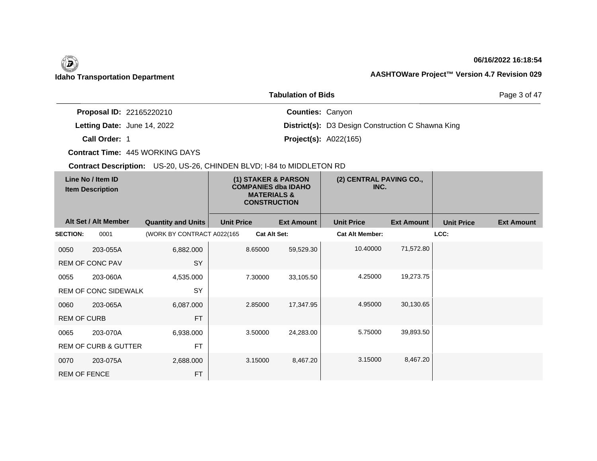## **06/16/2022 16:18:54**

Page 3 of 47

|                                 | <b>Tabulation of Bids</b>                                |
|---------------------------------|----------------------------------------------------------|
| <b>Proposal ID: 22165220210</b> | <b>Counties: Canyon</b>                                  |
| Letting Date: June 14, 2022     | <b>District(s):</b> D3 Design Construction C Shawna King |
| Call Order: 1                   | <b>Project(s): A022(165)</b>                             |

**Contract Time:** 445 WORKING DAYS

| Line No / Item ID<br><b>Item Description</b> |                                 | (1) STAKER & PARSON<br><b>COMPANIES dba IDAHO</b><br><b>MATERIALS &amp;</b><br><b>CONSTRUCTION</b> |                   | (2) CENTRAL PAVING CO.,<br>INC. |                   |                        |                   |                   |                   |
|----------------------------------------------|---------------------------------|----------------------------------------------------------------------------------------------------|-------------------|---------------------------------|-------------------|------------------------|-------------------|-------------------|-------------------|
|                                              | Alt Set / Alt Member            | <b>Quantity and Units</b>                                                                          | <b>Unit Price</b> |                                 | <b>Ext Amount</b> | <b>Unit Price</b>      | <b>Ext Amount</b> | <b>Unit Price</b> | <b>Ext Amount</b> |
| <b>SECTION:</b>                              | 0001                            | (WORK BY CONTRACT A022(165                                                                         |                   | <b>Cat Alt Set:</b>             |                   | <b>Cat Alt Member:</b> |                   | LCC:              |                   |
| 0050                                         | 203-055A                        | 6,882.000                                                                                          |                   | 8.65000                         | 59,529.30         | 10.40000               | 71,572.80         |                   |                   |
|                                              | REM OF CONC PAV                 | SY                                                                                                 |                   |                                 |                   |                        |                   |                   |                   |
| 0055                                         | 203-060A                        | 4,535.000                                                                                          |                   | 7.30000                         | 33,105.50         | 4.25000                | 19,273.75         |                   |                   |
|                                              | <b>REM OF CONC SIDEWALK</b>     | SY                                                                                                 |                   |                                 |                   |                        |                   |                   |                   |
| 0060                                         | 203-065A                        | 6,087.000                                                                                          |                   | 2.85000                         | 17,347.95         | 4.95000                | 30,130.65         |                   |                   |
| <b>REM OF CURB</b>                           |                                 | <b>FT</b>                                                                                          |                   |                                 |                   |                        |                   |                   |                   |
| 0065                                         | 203-070A                        | 6,938.000                                                                                          |                   | 3.50000                         | 24,283.00         | 5.75000                | 39,893.50         |                   |                   |
|                                              | <b>REM OF CURB &amp; GUTTER</b> | <b>FT</b>                                                                                          |                   |                                 |                   |                        |                   |                   |                   |
| 0070                                         | 203-075A                        | 2,688.000                                                                                          |                   | 3.15000                         | 8,467.20          | 3.15000                | 8,467.20          |                   |                   |
| <b>REM OF FENCE</b>                          |                                 | <b>FT</b>                                                                                          |                   |                                 |                   |                        |                   |                   |                   |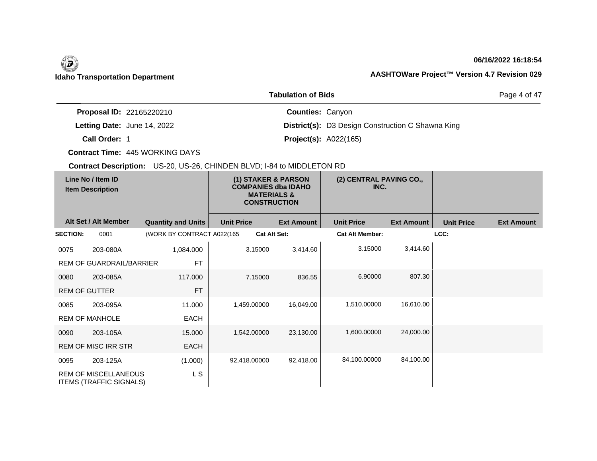## **06/16/2022 16:18:54**

Page 4 of 47

|                                 | <b>Tabulation of Bids</b>                                |
|---------------------------------|----------------------------------------------------------|
| <b>Proposal ID: 22165220210</b> | <b>Counties: Canyon</b>                                  |
| Letting Date: June 14, 2022     | <b>District(s):</b> D3 Design Construction C Shawna King |
| Call Order: 1                   | <b>Project(s): A022(165)</b>                             |

**Contract Time:** 445 WORKING DAYS

|                      | Line No / Item ID<br><b>Item Description</b>                  |                            | (1) STAKER & PARSON<br><b>COMPANIES dba IDAHO</b><br><b>MATERIALS &amp;</b><br><b>CONSTRUCTION</b> |                   | (2) CENTRAL PAVING CO.,<br>INC. |                   |                   |                   |
|----------------------|---------------------------------------------------------------|----------------------------|----------------------------------------------------------------------------------------------------|-------------------|---------------------------------|-------------------|-------------------|-------------------|
|                      | Alt Set / Alt Member                                          | <b>Quantity and Units</b>  | <b>Unit Price</b>                                                                                  | <b>Ext Amount</b> | <b>Unit Price</b>               | <b>Ext Amount</b> | <b>Unit Price</b> | <b>Ext Amount</b> |
| <b>SECTION:</b>      | 0001                                                          | (WORK BY CONTRACT A022(165 | <b>Cat Alt Set:</b>                                                                                |                   | <b>Cat Alt Member:</b>          |                   | LCC:              |                   |
| 0075                 | 203-080A                                                      | 1,084.000                  | 3.15000                                                                                            | 3,414.60          | 3.15000                         | 3,414.60          |                   |                   |
|                      | REM OF GUARDRAIL/BARRIER                                      | <b>FT</b>                  |                                                                                                    |                   |                                 |                   |                   |                   |
| 0080                 | 203-085A                                                      | 117.000                    | 7.15000                                                                                            | 836.55            | 6.90000                         | 807.30            |                   |                   |
| <b>REM OF GUTTER</b> |                                                               | <b>FT</b>                  |                                                                                                    |                   |                                 |                   |                   |                   |
| 0085                 | 203-095A                                                      | 11.000                     | 1,459.00000                                                                                        | 16,049.00         | 1,510.00000                     | 16,610.00         |                   |                   |
|                      | <b>REM OF MANHOLE</b>                                         | <b>EACH</b>                |                                                                                                    |                   |                                 |                   |                   |                   |
| 0090                 | 203-105A                                                      | 15.000                     | 1,542.00000                                                                                        | 23,130.00         | 1,600.00000                     | 24,000.00         |                   |                   |
|                      | <b>REM OF MISC IRR STR</b>                                    | <b>EACH</b>                |                                                                                                    |                   |                                 |                   |                   |                   |
| 0095                 | 203-125A                                                      | (1.000)                    | 92,418.00000                                                                                       | 92,418.00         | 84,100.00000                    | 84,100.00         |                   |                   |
|                      | <b>REM OF MISCELLANEOUS</b><br><b>ITEMS (TRAFFIC SIGNALS)</b> | L S                        |                                                                                                    |                   |                                 |                   |                   |                   |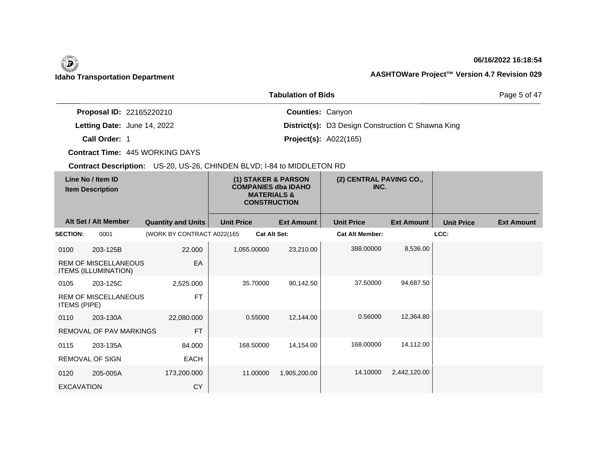## **06/16/2022 16:18:54**

Page 5 of 47

| <b>Proposal ID: 22165220210</b>    | <b>Counties: Canyon</b>      |                                                          |
|------------------------------------|------------------------------|----------------------------------------------------------|
| <b>Letting Date: June 14, 2022</b> |                              | <b>District(s):</b> D3 Design Construction C Shawna King |
| Call Order: 1                      | <b>Project(s): A022(165)</b> |                                                          |

**Tabulation of Bids**

**Contract Time:** 445 WORKING DAYS

|                     | Line No / Item ID<br><b>Item Description</b>               |                            |                   | (1) STAKER & PARSON<br><b>COMPANIES dba IDAHO</b><br><b>MATERIALS &amp;</b><br><b>CONSTRUCTION</b> | (2) CENTRAL PAVING CO.,<br>INC. |                   |                   |                   |
|---------------------|------------------------------------------------------------|----------------------------|-------------------|----------------------------------------------------------------------------------------------------|---------------------------------|-------------------|-------------------|-------------------|
|                     | Alt Set / Alt Member                                       | <b>Quantity and Units</b>  | <b>Unit Price</b> | <b>Ext Amount</b>                                                                                  | <b>Unit Price</b>               | <b>Ext Amount</b> | <b>Unit Price</b> | <b>Ext Amount</b> |
| <b>SECTION:</b>     | 0001                                                       | (WORK BY CONTRACT A022(165 |                   | <b>Cat Alt Set:</b>                                                                                | <b>Cat Alt Member:</b>          |                   | LCC:              |                   |
| 0100                | 203-125B                                                   | 22.000                     | 1,055.00000       | 23,210.00                                                                                          | 388.00000                       | 8,536.00          |                   |                   |
|                     | <b>REM OF MISCELLANEOUS</b><br><b>ITEMS (ILLUMINATION)</b> | EA                         |                   |                                                                                                    |                                 |                   |                   |                   |
| 0105                | 203-125C                                                   | 2,525.000                  | 35.70000          | 90,142.50                                                                                          | 37.50000                        | 94,687.50         |                   |                   |
| <b>ITEMS (PIPE)</b> | <b>REM OF MISCELLANEOUS</b>                                | <b>FT</b>                  |                   |                                                                                                    |                                 |                   |                   |                   |
| 0110                | 203-130A                                                   | 22,080.000                 | 0.55000           | 12,144.00                                                                                          | 0.56000                         | 12,364.80         |                   |                   |
|                     | <b>REMOVAL OF PAV MARKINGS</b>                             | <b>FT</b>                  |                   |                                                                                                    |                                 |                   |                   |                   |
| 0115                | 203-135A                                                   | 84.000                     | 168,50000         | 14,154.00                                                                                          | 168,00000                       | 14,112.00         |                   |                   |
|                     | <b>REMOVAL OF SIGN</b>                                     | <b>EACH</b>                |                   |                                                                                                    |                                 |                   |                   |                   |
| 0120                | 205-005A                                                   | 173,200.000                | 11.00000          | 1,905,200.00                                                                                       | 14.10000                        | 2,442,120.00      |                   |                   |
| <b>EXCAVATION</b>   |                                                            | <b>CY</b>                  |                   |                                                                                                    |                                 |                   |                   |                   |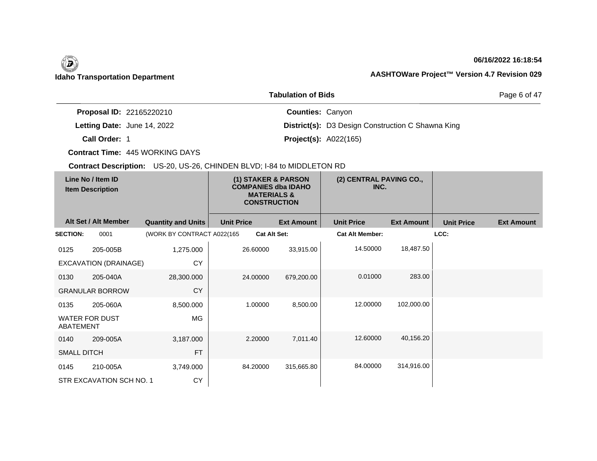## **06/16/2022 16:18:54**

Page 6 of 47

|               |                                 | Tadalahan di Dius            |                                                          |
|---------------|---------------------------------|------------------------------|----------------------------------------------------------|
|               | <b>Proposal ID: 22165220210</b> | <b>Counties: Canyon</b>      |                                                          |
|               | Letting Date: June 14, 2022     |                              | <b>District(s):</b> D3 Design Construction C Shawna King |
| Call Order: 1 |                                 | <b>Project(s): A022(165)</b> |                                                          |

**Tabulation of Bids**

**Contract Time:** 445 WORKING DAYS

|                    | Line No / Item ID<br>(1) STAKER & PARSON<br><b>COMPANIES dba IDAHO</b><br><b>Item Description</b><br><b>MATERIALS &amp;</b><br><b>CONSTRUCTION</b> |                            | (2) CENTRAL PAVING CO.,<br>INC. |                     |                        |                   |                   |                   |
|--------------------|----------------------------------------------------------------------------------------------------------------------------------------------------|----------------------------|---------------------------------|---------------------|------------------------|-------------------|-------------------|-------------------|
|                    | Alt Set / Alt Member                                                                                                                               | <b>Quantity and Units</b>  | <b>Unit Price</b>               | <b>Ext Amount</b>   | <b>Unit Price</b>      | <b>Ext Amount</b> | <b>Unit Price</b> | <b>Ext Amount</b> |
| <b>SECTION:</b>    | 0001                                                                                                                                               | (WORK BY CONTRACT A022(165 |                                 | <b>Cat Alt Set:</b> | <b>Cat Alt Member:</b> |                   | LCC:              |                   |
| 0125               | 205-005B                                                                                                                                           | 1,275.000                  | 26.60000                        | 33,915.00           | 14.50000               | 18,487.50         |                   |                   |
|                    | EXCAVATION (DRAINAGE)                                                                                                                              | CY                         |                                 |                     |                        |                   |                   |                   |
| 0130               | 205-040A                                                                                                                                           | 28,300.000                 | 24.00000                        | 679,200.00          | 0.01000                | 283.00            |                   |                   |
|                    | <b>GRANULAR BORROW</b>                                                                                                                             | <b>CY</b>                  |                                 |                     |                        |                   |                   |                   |
| 0135               | 205-060A                                                                                                                                           | 8,500.000                  | 1.00000                         | 8,500.00            | 12.00000               | 102,000.00        |                   |                   |
| ABATEMENT          | <b>WATER FOR DUST</b>                                                                                                                              | MG                         |                                 |                     |                        |                   |                   |                   |
| 0140               | 209-005A                                                                                                                                           | 3,187.000                  | 2.20000                         | 7,011.40            | 12.60000               | 40,156.20         |                   |                   |
| <b>SMALL DITCH</b> |                                                                                                                                                    | <b>FT</b>                  |                                 |                     |                        |                   |                   |                   |
| 0145               | 210-005A                                                                                                                                           | 3,749.000                  | 84.20000                        | 315,665.80          | 84.00000               | 314,916.00        |                   |                   |
|                    | STR EXCAVATION SCH NO. 1                                                                                                                           | CY                         |                                 |                     |                        |                   |                   |                   |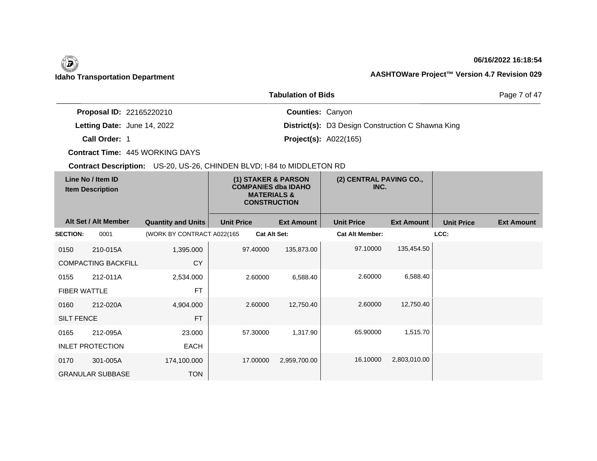## **06/16/2022 16:18:54**

Page 7 of 47

| <b>Proposal ID: 22165220210</b> | <b>Counties: Canyon</b>      |                                                          |
|---------------------------------|------------------------------|----------------------------------------------------------|
| Letting Date: June 14, 2022     |                              | <b>District(s):</b> D3 Design Construction C Shawna King |
| Call Order: 1                   | <b>Project(s): A022(165)</b> |                                                          |

**Tabulation of Bids**

**Contract Time:** 445 WORKING DAYS

| Line No / Item ID<br><b>Item Description</b> |                            | (1) STAKER & PARSON<br><b>COMPANIES dba IDAHO</b><br><b>MATERIALS &amp;</b><br><b>CONSTRUCTION</b> |                     | (2) CENTRAL PAVING CO.,<br>INC. |                        |                   |                   |                   |
|----------------------------------------------|----------------------------|----------------------------------------------------------------------------------------------------|---------------------|---------------------------------|------------------------|-------------------|-------------------|-------------------|
|                                              | Alt Set / Alt Member       | <b>Quantity and Units</b>                                                                          | <b>Unit Price</b>   | <b>Ext Amount</b>               | <b>Unit Price</b>      | <b>Ext Amount</b> | <b>Unit Price</b> | <b>Ext Amount</b> |
| <b>SECTION:</b>                              | 0001                       | (WORK BY CONTRACT A022(165                                                                         | <b>Cat Alt Set:</b> |                                 | <b>Cat Alt Member:</b> |                   | LCC:              |                   |
| 0150                                         | 210-015A                   | 1,395.000                                                                                          | 97.40000            | 135,873.00                      | 97.10000               | 135,454.50        |                   |                   |
|                                              | <b>COMPACTING BACKFILL</b> | <b>CY</b>                                                                                          |                     |                                 |                        |                   |                   |                   |
| 0155                                         | 212-011A                   | 2,534.000                                                                                          | 2.60000             | 6,588.40                        | 2.60000                | 6,588.40          |                   |                   |
| <b>FIBER WATTLE</b>                          |                            | <b>FT</b>                                                                                          |                     |                                 |                        |                   |                   |                   |
| 0160                                         | 212-020A                   | 4,904.000                                                                                          | 2.60000             | 12,750.40                       | 2.60000                | 12,750.40         |                   |                   |
| <b>SILT FENCE</b>                            |                            | <b>FT</b>                                                                                          |                     |                                 |                        |                   |                   |                   |
| 0165                                         | 212-095A                   | 23.000                                                                                             | 57.30000            | 1,317.90                        | 65.90000               | 1,515.70          |                   |                   |
|                                              | <b>INLET PROTECTION</b>    | <b>EACH</b>                                                                                        |                     |                                 |                        |                   |                   |                   |
| 0170                                         | 301-005A                   | 174,100.000                                                                                        | 17.00000            | 2,959,700.00                    | 16.10000               | 2,803,010.00      |                   |                   |
|                                              | <b>GRANULAR SUBBASE</b>    | <b>TON</b>                                                                                         |                     |                                 |                        |                   |                   |                   |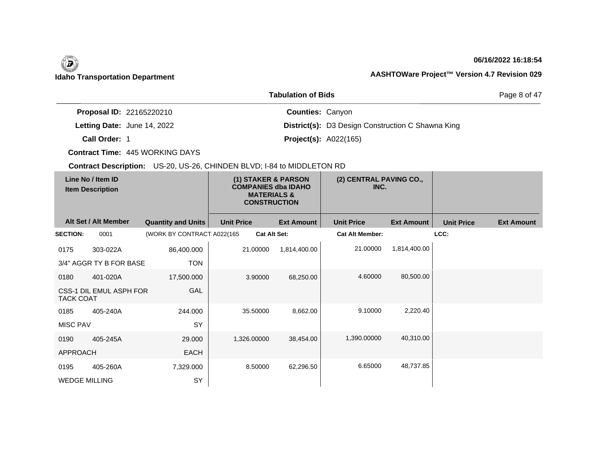## **06/16/2022 16:18:54**

Page 8 of 47

|                                 | <b>Tabulation of Bids</b>                                |
|---------------------------------|----------------------------------------------------------|
| <b>Proposal ID: 22165220210</b> | <b>Counties: Canyon</b>                                  |
| Letting Date: June 14, 2022     | <b>District(s):</b> D3 Design Construction C Shawna King |
| Call Order: 1                   | <b>Project(s): A022(165)</b>                             |

**Contract Time:** 445 WORKING DAYS

| Line No / Item ID<br><b>Item Description</b> |                         | (1) STAKER & PARSON<br><b>COMPANIES dba IDAHO</b><br><b>MATERIALS &amp;</b><br><b>CONSTRUCTION</b> |                     | (2) CENTRAL PAVING CO.,<br>INC. |                        |                   |                   |                   |
|----------------------------------------------|-------------------------|----------------------------------------------------------------------------------------------------|---------------------|---------------------------------|------------------------|-------------------|-------------------|-------------------|
|                                              | Alt Set / Alt Member    | <b>Quantity and Units</b>                                                                          | <b>Unit Price</b>   | <b>Ext Amount</b>               | <b>Unit Price</b>      | <b>Ext Amount</b> | <b>Unit Price</b> | <b>Ext Amount</b> |
| <b>SECTION:</b>                              | 0001                    | (WORK BY CONTRACT A022(165                                                                         | <b>Cat Alt Set:</b> |                                 | <b>Cat Alt Member:</b> |                   | LCC:              |                   |
| 0175                                         | 303-022A                | 86,400.000                                                                                         | 21.00000            | 1,814,400.00                    | 21.00000               | 1,814,400.00      |                   |                   |
|                                              | 3/4" AGGR TY B FOR BASE | <b>TON</b>                                                                                         |                     |                                 |                        |                   |                   |                   |
| 0180                                         | 401-020A                | 17,500.000                                                                                         | 3.90000             | 68,250.00                       | 4.60000                | 80,500.00         |                   |                   |
| <b>TACK COAT</b>                             | CSS-1 DIL EMUL ASPH FOR | GAL                                                                                                |                     |                                 |                        |                   |                   |                   |
| 0185                                         | 405-240A                | 244.000                                                                                            | 35.50000            | 8,662.00                        | 9.10000                | 2,220.40          |                   |                   |
| <b>MISC PAV</b>                              |                         | SY                                                                                                 |                     |                                 |                        |                   |                   |                   |
| 0190                                         | 405-245A                | 29.000                                                                                             | 1,326.00000         | 38,454.00                       | 1,390.00000            | 40,310.00         |                   |                   |
| <b>APPROACH</b>                              |                         | <b>EACH</b>                                                                                        |                     |                                 |                        |                   |                   |                   |
| 0195                                         | 405-260A                | 7,329.000                                                                                          | 8.50000             | 62,296.50                       | 6.65000                | 48,737.85         |                   |                   |
| <b>WEDGE MILLING</b>                         |                         | SY                                                                                                 |                     |                                 |                        |                   |                   |                   |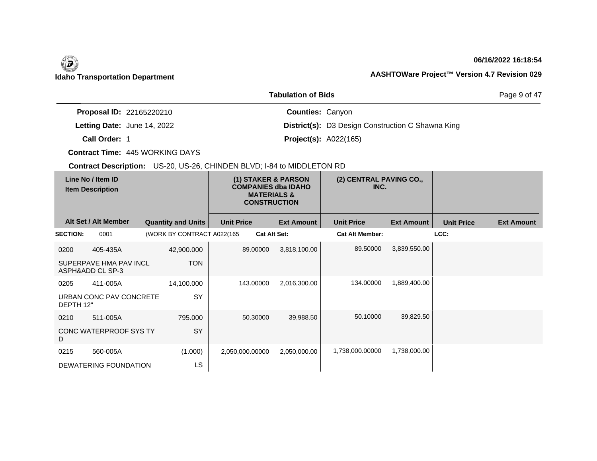## **06/16/2022 16:18:54**

Page 9 of 47

|                                 | TUDUKUUT OL DIUJ                                         |  |
|---------------------------------|----------------------------------------------------------|--|
| <b>Proposal ID: 22165220210</b> | <b>Counties: Canyon</b>                                  |  |
| Letting Date: June 14, 2022     | <b>District(s):</b> D3 Design Construction C Shawna King |  |
| Call Order: 1                   | <b>Project(s): A022(165)</b>                             |  |

**Tabulation of Bids**

**Contract Time:** 445 WORKING DAYS

| Line No / Item ID<br><b>Item Description</b> |                                            | (1) STAKER & PARSON<br><b>COMPANIES dba IDAHO</b><br><b>MATERIALS &amp;</b><br><b>CONSTRUCTION</b> |                   | (2) CENTRAL PAVING CO.,<br>INC. |                        |                   |                   |                   |
|----------------------------------------------|--------------------------------------------|----------------------------------------------------------------------------------------------------|-------------------|---------------------------------|------------------------|-------------------|-------------------|-------------------|
|                                              | Alt Set / Alt Member                       | <b>Quantity and Units</b>                                                                          | <b>Unit Price</b> | <b>Ext Amount</b>               | <b>Unit Price</b>      | <b>Ext Amount</b> | <b>Unit Price</b> | <b>Ext Amount</b> |
| <b>SECTION:</b>                              | 0001                                       | (WORK BY CONTRACT A022(165                                                                         |                   | <b>Cat Alt Set:</b>             | <b>Cat Alt Member:</b> |                   | LCC:              |                   |
| 0200                                         | 405-435A                                   | 42,900.000                                                                                         | 89.00000          | 3,818,100.00                    | 89.50000               | 3,839,550.00      |                   |                   |
|                                              | SUPERPAVE HMA PAV INCL<br>ASPH&ADD CL SP-3 | <b>TON</b>                                                                                         |                   |                                 |                        |                   |                   |                   |
| 0205                                         | 411-005A                                   | 14,100.000                                                                                         | 143.00000         | 2,016,300.00                    | 134.00000              | 1,889,400.00      |                   |                   |
| DEPTH 12"                                    | URBAN CONC PAV CONCRETE                    | SY                                                                                                 |                   |                                 |                        |                   |                   |                   |
| 0210                                         | 511-005A                                   | 795,000                                                                                            | 50.30000          | 39,988.50                       | 50.10000               | 39,829.50         |                   |                   |
| D                                            | CONC WATERPROOF SYS TY                     | <b>SY</b>                                                                                          |                   |                                 |                        |                   |                   |                   |
| 0215                                         | 560-005A                                   | (1.000)                                                                                            | 2,050,000.00000   | 2,050,000.00                    | 1,738,000.00000        | 1,738,000.00      |                   |                   |
|                                              | DEWATERING FOUNDATION                      | LS                                                                                                 |                   |                                 |                        |                   |                   |                   |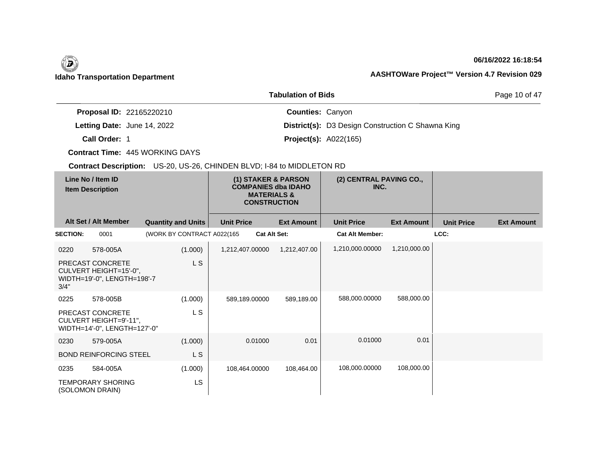## **06/16/2022 16:18:54**

Page 10 of 47

|                                 | <b>Tabulation of Bids</b>                                |
|---------------------------------|----------------------------------------------------------|
| <b>Proposal ID: 22165220210</b> | <b>Counties: Canyon</b>                                  |
| Letting Date: June 14, 2022     | <b>District(s):</b> D3 Design Construction C Shawna King |
| Call Order: 1                   | <b>Project(s): A022(165)</b>                             |

**Contract Time:** 445 WORKING DAYS

| Line No / Item ID<br><b>Item Description</b> |                                                                            | (1) STAKER & PARSON<br><b>COMPANIES dba IDAHO</b><br><b>MATERIALS &amp;</b><br><b>CONSTRUCTION</b> |                   | (2) CENTRAL PAVING CO.,<br>INC. |                        |                   |                   |                   |
|----------------------------------------------|----------------------------------------------------------------------------|----------------------------------------------------------------------------------------------------|-------------------|---------------------------------|------------------------|-------------------|-------------------|-------------------|
|                                              | Alt Set / Alt Member                                                       | <b>Quantity and Units</b>                                                                          | <b>Unit Price</b> | <b>Ext Amount</b>               | <b>Unit Price</b>      | <b>Ext Amount</b> | <b>Unit Price</b> | <b>Ext Amount</b> |
| <b>SECTION:</b>                              | 0001                                                                       | (WORK BY CONTRACT A022(165                                                                         |                   | <b>Cat Alt Set:</b>             | <b>Cat Alt Member:</b> |                   | LCC:              |                   |
| 0220                                         | 578-005A                                                                   | (1.000)                                                                                            | 1,212,407.00000   | 1,212,407.00                    | 1,210,000.00000        | 1,210,000.00      |                   |                   |
| 3/4"                                         | PRECAST CONCRETE<br>CULVERT HEIGHT=15'-0",<br>WIDTH=19'-0", LENGTH=198'-7  | L S                                                                                                |                   |                                 |                        |                   |                   |                   |
| 0225                                         | 578-005B                                                                   | (1.000)                                                                                            | 589,189.00000     | 589,189.00                      | 588,000.00000          | 588,000.00        |                   |                   |
|                                              | PRECAST CONCRETE<br>CULVERT HEIGHT=9'-11",<br>WIDTH=14'-0", LENGTH=127'-0" | L S                                                                                                |                   |                                 |                        |                   |                   |                   |
| 0230                                         | 579-005A                                                                   | (1.000)                                                                                            | 0.01000           | 0.01                            | 0.01000                | 0.01              |                   |                   |
|                                              | <b>BOND REINFORCING STEEL</b>                                              | L S                                                                                                |                   |                                 |                        |                   |                   |                   |
| 0235                                         | 584-005A                                                                   | (1.000)                                                                                            | 108,464.00000     | 108,464.00                      | 108,000.00000          | 108,000.00        |                   |                   |
|                                              | <b>TEMPORARY SHORING</b><br>(SOLOMON DRAIN)                                | <b>LS</b>                                                                                          |                   |                                 |                        |                   |                   |                   |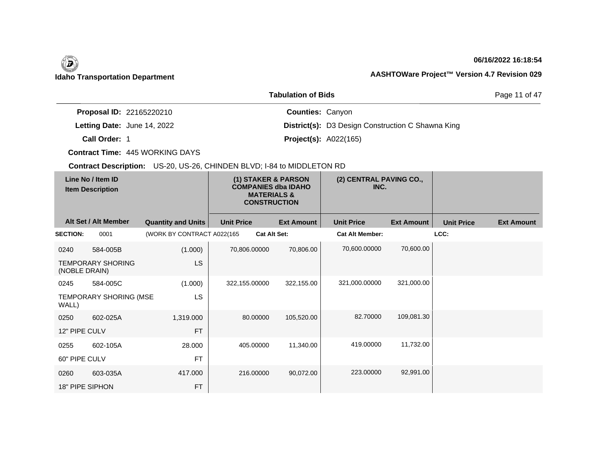## **06/16/2022 16:18:54**

Page 11 of 47

|                                    | <b>Tabulation of Bids</b>                                |
|------------------------------------|----------------------------------------------------------|
| <b>Proposal ID: 22165220210</b>    | <b>Counties: Canyon</b>                                  |
| <b>Letting Date: June 14, 2022</b> | <b>District(s):</b> D3 Design Construction C Shawna King |
| Call Order: 1                      | <b>Project(s): A022(165)</b>                             |

**Contract Time:** 445 WORKING DAYS

| Line No / Item ID<br><b>Item Description</b> |                          | (1) STAKER & PARSON<br><b>COMPANIES dba IDAHO</b><br><b>MATERIALS &amp;</b><br><b>CONSTRUCTION</b> |                   | (2) CENTRAL PAVING CO.,<br>INC. |                        |                   |                   |                   |
|----------------------------------------------|--------------------------|----------------------------------------------------------------------------------------------------|-------------------|---------------------------------|------------------------|-------------------|-------------------|-------------------|
|                                              | Alt Set / Alt Member     | <b>Quantity and Units</b>                                                                          | <b>Unit Price</b> | <b>Ext Amount</b>               | <b>Unit Price</b>      | <b>Ext Amount</b> | <b>Unit Price</b> | <b>Ext Amount</b> |
| <b>SECTION:</b>                              | 0001                     | (WORK BY CONTRACT A022(165                                                                         |                   | Cat Alt Set:                    | <b>Cat Alt Member:</b> |                   | LCC:              |                   |
| 0240                                         | 584-005B                 | (1.000)                                                                                            | 70,806.00000      | 70,806.00                       | 70,600.00000           | 70,600.00         |                   |                   |
| (NOBLE DRAIN)                                | <b>TEMPORARY SHORING</b> | <b>LS</b>                                                                                          |                   |                                 |                        |                   |                   |                   |
| 0245                                         | 584-005C                 | (1.000)                                                                                            | 322,155.00000     | 322,155.00                      | 321,000.00000          | 321,000.00        |                   |                   |
| WALL)                                        | TEMPORARY SHORING (MSE   | LS.                                                                                                |                   |                                 |                        |                   |                   |                   |
| 0250                                         | 602-025A                 | 1,319.000                                                                                          | 80.00000          | 105,520.00                      | 82.70000               | 109,081.30        |                   |                   |
| 12" PIPE CULV                                |                          | <b>FT</b>                                                                                          |                   |                                 |                        |                   |                   |                   |
| 0255                                         | 602-105A                 | 28.000                                                                                             | 405.00000         | 11,340.00                       | 419.00000              | 11,732.00         |                   |                   |
| 60" PIPE CULV                                |                          | <b>FT</b>                                                                                          |                   |                                 |                        |                   |                   |                   |
| 0260                                         | 603-035A                 | 417.000                                                                                            | 216.00000         | 90,072.00                       | 223,00000              | 92,991.00         |                   |                   |
| 18" PIPE SIPHON                              |                          | <b>FT</b>                                                                                          |                   |                                 |                        |                   |                   |                   |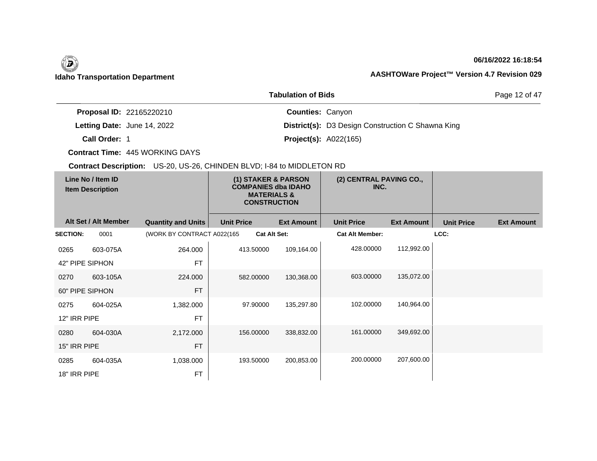## **06/16/2022 16:18:54**

Page 12 of 47

|                                 | <b>Tabulation of Bids</b>                                |
|---------------------------------|----------------------------------------------------------|
| <b>Proposal ID: 22165220210</b> | <b>Counties: Canyon</b>                                  |
| Letting Date: June 14, 2022     | <b>District(s):</b> D3 Design Construction C Shawna King |
| Call Order: 1                   | <b>Project(s): A022(165)</b>                             |

**Contract Time:** 445 WORKING DAYS

| Line No / Item ID<br><b>Item Description</b> |                      |                            | (1) STAKER & PARSON<br><b>COMPANIES dba IDAHO</b><br><b>MATERIALS &amp;</b><br><b>CONSTRUCTION</b> | (2) CENTRAL PAVING CO.,<br>INC. |                        |                   |                   |                   |
|----------------------------------------------|----------------------|----------------------------|----------------------------------------------------------------------------------------------------|---------------------------------|------------------------|-------------------|-------------------|-------------------|
|                                              | Alt Set / Alt Member | <b>Quantity and Units</b>  | <b>Unit Price</b>                                                                                  | <b>Ext Amount</b>               | <b>Unit Price</b>      | <b>Ext Amount</b> | <b>Unit Price</b> | <b>Ext Amount</b> |
| <b>SECTION:</b>                              | 0001                 | (WORK BY CONTRACT A022(165 |                                                                                                    | <b>Cat Alt Set:</b>             | <b>Cat Alt Member:</b> |                   | LCC:              |                   |
| 0265                                         | 603-075A             | 264.000                    | 413.50000                                                                                          | 109,164.00                      | 428.00000              | 112,992.00        |                   |                   |
| 42" PIPE SIPHON                              |                      | <b>FT</b>                  |                                                                                                    |                                 |                        |                   |                   |                   |
| 0270                                         | 603-105A             | 224.000                    | 582.00000                                                                                          | 130,368.00                      | 603.00000              | 135,072.00        |                   |                   |
| 60" PIPE SIPHON                              |                      | <b>FT</b>                  |                                                                                                    |                                 |                        |                   |                   |                   |
| 0275                                         | 604-025A             | 1,382.000                  | 97.90000                                                                                           | 135,297.80                      | 102.00000              | 140,964.00        |                   |                   |
| 12" IRR PIPE                                 |                      | <b>FT</b>                  |                                                                                                    |                                 |                        |                   |                   |                   |
| 0280                                         | 604-030A             | 2,172.000                  | 156.00000                                                                                          | 338,832.00                      | 161.00000              | 349,692.00        |                   |                   |
| 15" IRR PIPE                                 |                      | <b>FT</b>                  |                                                                                                    |                                 |                        |                   |                   |                   |
| 0285                                         | 604-035A             | 1,038.000                  | 193.50000                                                                                          | 200,853.00                      | 200.00000              | 207,600.00        |                   |                   |
| 18" IRR PIPE                                 |                      | <b>FT</b>                  |                                                                                                    |                                 |                        |                   |                   |                   |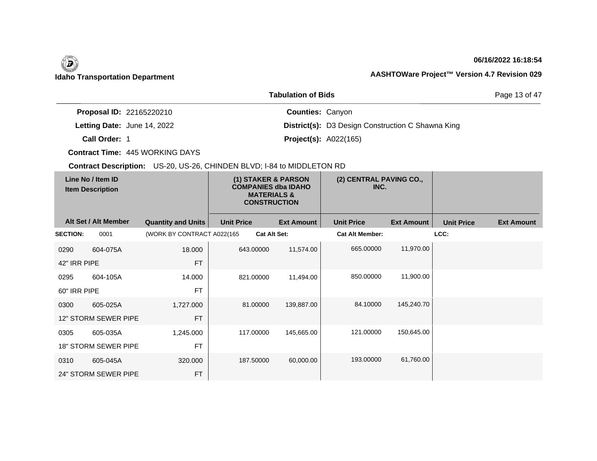## **06/16/2022 16:18:54**

Page 13 of 47

|                                 | <b>Tabulation of Bids</b>                                |
|---------------------------------|----------------------------------------------------------|
| <b>Proposal ID: 22165220210</b> | <b>Counties: Canyon</b>                                  |
| Letting Date: June 14, 2022     | <b>District(s):</b> D3 Design Construction C Shawna King |
| Call Order: 1                   | <b>Project(s): A022(165)</b>                             |

**Contract Time:** 445 WORKING DAYS

| Line No / Item ID<br><b>Item Description</b> |                             |                            | (1) STAKER & PARSON<br><b>COMPANIES dba IDAHO</b><br><b>MATERIALS &amp;</b><br><b>CONSTRUCTION</b> | (2) CENTRAL PAVING CO.,<br>INC. |                        |                   |                   |                   |
|----------------------------------------------|-----------------------------|----------------------------|----------------------------------------------------------------------------------------------------|---------------------------------|------------------------|-------------------|-------------------|-------------------|
|                                              | Alt Set / Alt Member        | <b>Quantity and Units</b>  | <b>Unit Price</b>                                                                                  | <b>Ext Amount</b>               | <b>Unit Price</b>      | <b>Ext Amount</b> | <b>Unit Price</b> | <b>Ext Amount</b> |
| <b>SECTION:</b>                              | 0001                        | (WORK BY CONTRACT A022(165 |                                                                                                    | <b>Cat Alt Set:</b>             | <b>Cat Alt Member:</b> |                   | LCC:              |                   |
| 0290                                         | 604-075A                    | 18.000                     | 643.00000                                                                                          | 11,574.00                       | 665.00000              | 11,970.00         |                   |                   |
| 42" IRR PIPE                                 |                             | <b>FT</b>                  |                                                                                                    |                                 |                        |                   |                   |                   |
| 0295                                         | 604-105A                    | 14.000                     | 821.00000                                                                                          | 11,494.00                       | 850.00000              | 11,900.00         |                   |                   |
| 60" IRR PIPE                                 |                             | <b>FT</b>                  |                                                                                                    |                                 |                        |                   |                   |                   |
| 0300                                         | 605-025A                    | 1,727.000                  | 81.00000                                                                                           | 139,887.00                      | 84.10000               | 145,240.70        |                   |                   |
|                                              | 12" STORM SEWER PIPE        | <b>FT</b>                  |                                                                                                    |                                 |                        |                   |                   |                   |
| 0305                                         | 605-035A                    | 1,245.000                  | 117.00000                                                                                          | 145,665.00                      | 121.00000              | 150,645.00        |                   |                   |
|                                              | <b>18" STORM SEWER PIPE</b> | <b>FT</b>                  |                                                                                                    |                                 |                        |                   |                   |                   |
| 0310                                         | 605-045A                    | 320.000                    | 187.50000                                                                                          | 60,000.00                       | 193.00000              | 61,760.00         |                   |                   |
|                                              | 24" STORM SEWER PIPE        | <b>FT</b>                  |                                                                                                    |                                 |                        |                   |                   |                   |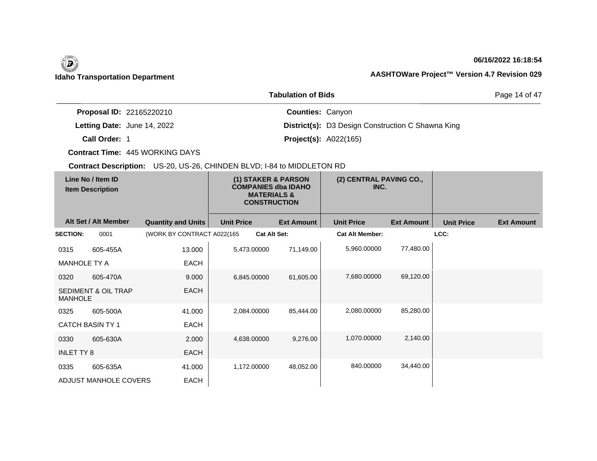## **06/16/2022 16:18:54**

Page 14 of 47

|                                 | <b>Tabulation of Bids</b>                                |
|---------------------------------|----------------------------------------------------------|
| <b>Proposal ID: 22165220210</b> | <b>Counties: Canyon</b>                                  |
| Letting Date: June 14, 2022     | <b>District(s):</b> D3 Design Construction C Shawna King |
| Call Order: 1                   | <b>Project(s): A022(165)</b>                             |

**Contract Time:** 445 WORKING DAYS

| Line No / Item ID<br><b>Item Description</b> |                                |                            | (1) STAKER & PARSON<br><b>COMPANIES dba IDAHO</b><br><b>MATERIALS &amp;</b><br><b>CONSTRUCTION</b> | (2) CENTRAL PAVING CO.,<br>INC. |                        |                   |                   |                   |
|----------------------------------------------|--------------------------------|----------------------------|----------------------------------------------------------------------------------------------------|---------------------------------|------------------------|-------------------|-------------------|-------------------|
|                                              | Alt Set / Alt Member           | <b>Quantity and Units</b>  | <b>Unit Price</b>                                                                                  | <b>Ext Amount</b>               | <b>Unit Price</b>      | <b>Ext Amount</b> | <b>Unit Price</b> | <b>Ext Amount</b> |
| <b>SECTION:</b>                              | 0001                           | (WORK BY CONTRACT A022(165 |                                                                                                    | <b>Cat Alt Set:</b>             | <b>Cat Alt Member:</b> |                   | LCC:              |                   |
| 0315                                         | 605-455A                       | 13.000                     | 5,473.00000                                                                                        | 71,149.00                       | 5,960.00000            | 77,480.00         |                   |                   |
| <b>MANHOLE TY A</b>                          |                                | <b>EACH</b>                |                                                                                                    |                                 |                        |                   |                   |                   |
| 0320                                         | 605-470A                       | 9.000                      | 6,845.00000                                                                                        | 61,605.00                       | 7,680.00000            | 69,120.00         |                   |                   |
| <b>MANHOLE</b>                               | <b>SEDIMENT &amp; OIL TRAP</b> | <b>EACH</b>                |                                                                                                    |                                 |                        |                   |                   |                   |
| 0325                                         | 605-500A                       | 41.000                     | 2,084.00000                                                                                        | 85,444.00                       | 2,080.00000            | 85,280.00         |                   |                   |
| <b>CATCH BASIN TY 1</b>                      |                                | <b>EACH</b>                |                                                                                                    |                                 |                        |                   |                   |                   |
| 0330                                         | 605-630A                       | 2.000                      | 4,638.00000                                                                                        | 9,276.00                        | 1,070.00000            | 2,140.00          |                   |                   |
| <b>INLET TY 8</b>                            |                                | <b>EACH</b>                |                                                                                                    |                                 |                        |                   |                   |                   |
| 0335                                         | 605-635A                       | 41.000                     | 1,172.00000                                                                                        | 48,052.00                       | 840.00000              | 34,440.00         |                   |                   |
|                                              | ADJUST MANHOLE COVERS          | <b>EACH</b>                |                                                                                                    |                                 |                        |                   |                   |                   |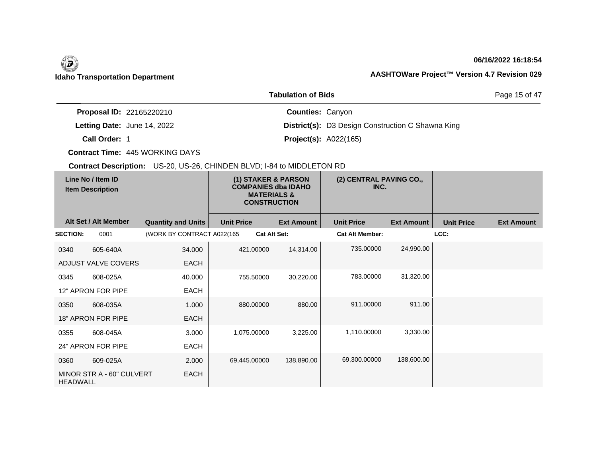## **06/16/2022 16:18:54**

Page 15 of 47

|                                    | <b>Tabulation of Bids</b>                                |
|------------------------------------|----------------------------------------------------------|
| <b>Proposal ID: 22165220210</b>    | <b>Counties: Canyon</b>                                  |
| <b>Letting Date: June 14, 2022</b> | <b>District(s):</b> D3 Design Construction C Shawna King |
| Call Order: 1                      | <b>Project(s): A022(165)</b>                             |

**Contract Time:** 445 WORKING DAYS

| Line No / Item ID<br><b>Item Description</b> |                           | (1) STAKER & PARSON<br><b>COMPANIES dba IDAHO</b><br><b>MATERIALS &amp;</b><br><b>CONSTRUCTION</b> |                     | (2) CENTRAL PAVING CO.,<br>INC. |                        |                   |                   |                   |
|----------------------------------------------|---------------------------|----------------------------------------------------------------------------------------------------|---------------------|---------------------------------|------------------------|-------------------|-------------------|-------------------|
|                                              | Alt Set / Alt Member      | <b>Quantity and Units</b>                                                                          | <b>Unit Price</b>   | <b>Ext Amount</b>               | <b>Unit Price</b>      | <b>Ext Amount</b> | <b>Unit Price</b> | <b>Ext Amount</b> |
| <b>SECTION:</b>                              | 0001                      | (WORK BY CONTRACT A022(165                                                                         | <b>Cat Alt Set:</b> |                                 | <b>Cat Alt Member:</b> |                   | LCC:              |                   |
| 0340                                         | 605-640A                  | 34.000                                                                                             | 421.00000           | 14,314.00                       | 735.00000              | 24,990.00         |                   |                   |
|                                              | ADJUST VALVE COVERS       | <b>EACH</b>                                                                                        |                     |                                 |                        |                   |                   |                   |
| 0345                                         | 608-025A                  | 40.000                                                                                             | 755.50000           | 30,220.00                       | 783.00000              | 31,320.00         |                   |                   |
|                                              | 12" APRON FOR PIPE        | <b>EACH</b>                                                                                        |                     |                                 |                        |                   |                   |                   |
| 0350                                         | 608-035A                  | 1.000                                                                                              | 880.00000           | 880.00                          | 911.00000              | 911.00            |                   |                   |
|                                              | 18" APRON FOR PIPE        | <b>EACH</b>                                                                                        |                     |                                 |                        |                   |                   |                   |
| 0355                                         | 608-045A                  | 3.000                                                                                              | 1,075.00000         | 3,225.00                        | 1,110.00000            | 3,330.00          |                   |                   |
|                                              | 24" APRON FOR PIPE        | EACH                                                                                               |                     |                                 |                        |                   |                   |                   |
| 0360                                         | 609-025A                  | 2.000                                                                                              | 69,445.00000        | 138,890.00                      | 69,300.00000           | 138,600.00        |                   |                   |
| <b>HEADWALL</b>                              | MINOR STR A - 60" CULVERT | <b>EACH</b>                                                                                        |                     |                                 |                        |                   |                   |                   |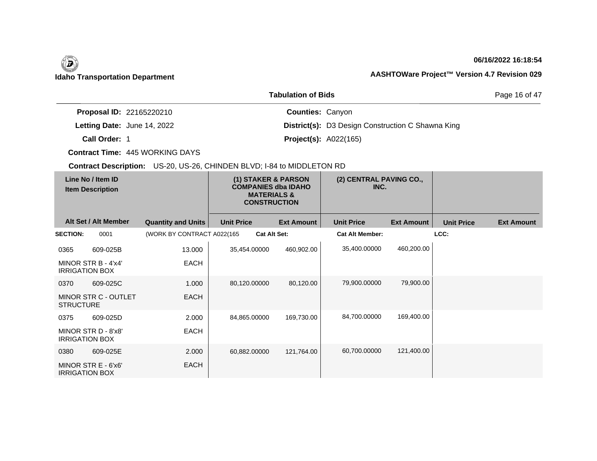## **06/16/2022 16:18:54**

Page 16 of 47

|                                 | <b>Tabulation of Bids</b>                                |
|---------------------------------|----------------------------------------------------------|
| <b>Proposal ID: 22165220210</b> | <b>Counties: Canyon</b>                                  |
| Letting Date: June 14, 2022     | <b>District(s):</b> D3 Design Construction C Shawna King |
| Call Order: 1                   | <b>Project(s): A022(165)</b>                             |

**Contract Time:** 445 WORKING DAYS

| Line No / Item ID<br><b>Item Description</b>    | (1) STAKER & PARSON<br><b>COMPANIES dba IDAHO</b><br><b>MATERIALS &amp;</b><br><b>CONSTRUCTION</b> |                     |                   | (2) CENTRAL PAVING CO.,<br>INC. |                   |                   |                   |
|-------------------------------------------------|----------------------------------------------------------------------------------------------------|---------------------|-------------------|---------------------------------|-------------------|-------------------|-------------------|
| Alt Set / Alt Member                            | <b>Quantity and Units</b>                                                                          | <b>Unit Price</b>   | <b>Ext Amount</b> | <b>Unit Price</b>               | <b>Ext Amount</b> | <b>Unit Price</b> | <b>Ext Amount</b> |
| <b>SECTION:</b><br>0001                         | (WORK BY CONTRACT A022(165                                                                         | <b>Cat Alt Set:</b> |                   | <b>Cat Alt Member:</b>          |                   | LCC:              |                   |
| 0365<br>609-025B                                | 13.000                                                                                             | 35,454.00000        | 460,902.00        | 35,400.00000                    | 460,200.00        |                   |                   |
| MINOR STR B - 4'x4'<br><b>IRRIGATION BOX</b>    | EACH                                                                                               |                     |                   |                                 |                   |                   |                   |
| 609-025C<br>0370                                | 1.000                                                                                              | 80,120.00000        | 80,120.00         | 79,900.00000                    | 79,900.00         |                   |                   |
| <b>MINOR STR C - OUTLET</b><br><b>STRUCTURE</b> | <b>EACH</b>                                                                                        |                     |                   |                                 |                   |                   |                   |
| 0375<br>609-025D                                | 2.000                                                                                              | 84,865,00000        | 169,730.00        | 84,700.00000                    | 169,400.00        |                   |                   |
| MINOR STR D - 8'x8'<br><b>IRRIGATION BOX</b>    | <b>EACH</b>                                                                                        |                     |                   |                                 |                   |                   |                   |
| 0380<br>609-025E                                | 2.000                                                                                              | 60,882.00000        | 121,764.00        | 60,700.00000                    | 121,400.00        |                   |                   |
| MINOR STR E - 6'x6'<br><b>IRRIGATION BOX</b>    | <b>EACH</b>                                                                                        |                     |                   |                                 |                   |                   |                   |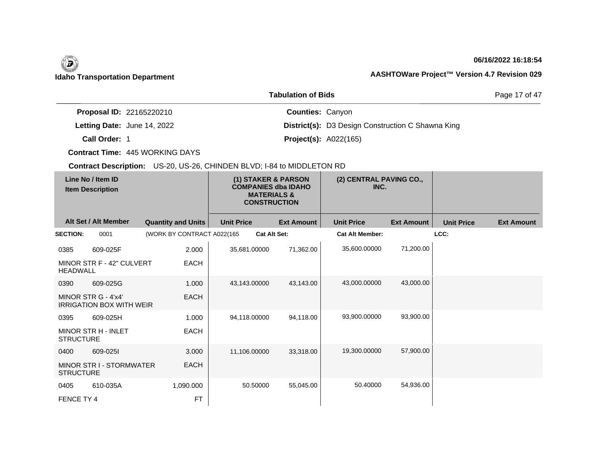## **06/16/2022 16:18:54**

Page 17 of 47

|                                 | <b>Tabulation of Bids</b>                                |
|---------------------------------|----------------------------------------------------------|
| <b>Proposal ID: 22165220210</b> | <b>Counties: Canyon</b>                                  |
| Letting Date: June 14, 2022     | <b>District(s):</b> D3 Design Construction C Shawna King |
| Call Order: 1                   | <b>Project(s): A022(165)</b>                             |

**Contract Time:** 445 WORKING DAYS

| Line No / Item ID<br><b>Item Description</b> |                                                        | (2) CENTRAL PAVING CO.,<br>(1) STAKER & PARSON<br><b>COMPANIES dba IDAHO</b><br>INC.<br><b>MATERIALS &amp;</b><br><b>CONSTRUCTION</b> |                     |                   |                        |                   |                   |                   |
|----------------------------------------------|--------------------------------------------------------|---------------------------------------------------------------------------------------------------------------------------------------|---------------------|-------------------|------------------------|-------------------|-------------------|-------------------|
|                                              | Alt Set / Alt Member                                   | <b>Quantity and Units</b>                                                                                                             | <b>Unit Price</b>   | <b>Ext Amount</b> | <b>Unit Price</b>      | <b>Ext Amount</b> | <b>Unit Price</b> | <b>Ext Amount</b> |
| <b>SECTION:</b>                              | 0001                                                   | (WORK BY CONTRACT A022(165                                                                                                            | <b>Cat Alt Set:</b> |                   | <b>Cat Alt Member:</b> |                   | LCC:              |                   |
| 0385                                         | 609-025F                                               | 2.000                                                                                                                                 | 35,681.00000        | 71,362.00         | 35,600.00000           | 71,200.00         |                   |                   |
| <b>HEADWALL</b>                              | MINOR STR F - 42" CULVERT                              | <b>EACH</b>                                                                                                                           |                     |                   |                        |                   |                   |                   |
| 0390                                         | 609-025G                                               | 1.000                                                                                                                                 | 43,143.00000        | 43,143.00         | 43,000.00000           | 43,000.00         |                   |                   |
|                                              | MINOR STR G - 4'x4'<br><b>IRRIGATION BOX WITH WEIR</b> | <b>EACH</b>                                                                                                                           |                     |                   |                        |                   |                   |                   |
| 0395                                         | 609-025H                                               | 1.000                                                                                                                                 | 94,118.00000        | 94,118.00         | 93,900.00000           | 93,900.00         |                   |                   |
| <b>STRUCTURE</b>                             | <b>MINOR STR H - INLET</b>                             | <b>EACH</b>                                                                                                                           |                     |                   |                        |                   |                   |                   |
| 0400                                         | 609-0251                                               | 3.000                                                                                                                                 | 11,106.00000        | 33,318.00         | 19,300.00000           | 57,900.00         |                   |                   |
| <b>STRUCTURE</b>                             | MINOR STR I - STORMWATER                               | <b>EACH</b>                                                                                                                           |                     |                   |                        |                   |                   |                   |
| 0405                                         | 610-035A                                               | 1,090.000                                                                                                                             | 50.50000            | 55,045.00         | 50.40000               | 54,936.00         |                   |                   |
| FENCE TY 4                                   |                                                        | <b>FT</b>                                                                                                                             |                     |                   |                        |                   |                   |                   |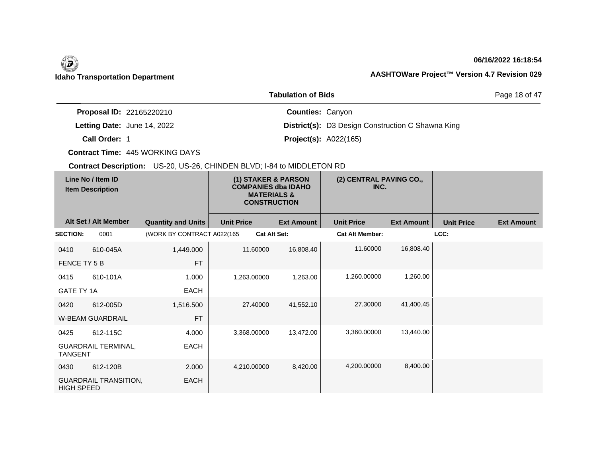## **06/16/2022 16:18:54**

Page 18 of 47

|                                 | <b>Tabulation of Bids</b>                                |
|---------------------------------|----------------------------------------------------------|
| <b>Proposal ID: 22165220210</b> | <b>Counties: Canyon</b>                                  |
| Letting Date: June 14, 2022     | <b>District(s):</b> D3 Design Construction C Shawna King |
| Call Order: 1                   | <b>Project(s): A022(165)</b>                             |

**Contract Time:** 445 WORKING DAYS

| Line No / Item ID<br><b>Item Description</b> |                              | (1) STAKER & PARSON<br><b>COMPANIES dba IDAHO</b><br><b>MATERIALS &amp;</b><br><b>CONSTRUCTION</b> |                   | (2) CENTRAL PAVING CO.,<br>INC. |                        |                   |                   |                   |
|----------------------------------------------|------------------------------|----------------------------------------------------------------------------------------------------|-------------------|---------------------------------|------------------------|-------------------|-------------------|-------------------|
|                                              | Alt Set / Alt Member         | <b>Quantity and Units</b>                                                                          | <b>Unit Price</b> | <b>Ext Amount</b>               | <b>Unit Price</b>      | <b>Ext Amount</b> | <b>Unit Price</b> | <b>Ext Amount</b> |
| <b>SECTION:</b>                              | 0001                         | (WORK BY CONTRACT A022(165                                                                         |                   | <b>Cat Alt Set:</b>             | <b>Cat Alt Member:</b> |                   | LCC:              |                   |
| 0410                                         | 610-045A                     | 1,449.000                                                                                          | 11.60000          | 16,808.40                       | 11.60000               | 16,808.40         |                   |                   |
| FENCE TY 5 B                                 |                              | <b>FT</b>                                                                                          |                   |                                 |                        |                   |                   |                   |
| 0415                                         | 610-101A                     | 1.000                                                                                              | 1,263.00000       | 1,263.00                        | 1,260.00000            | 1,260.00          |                   |                   |
| <b>GATE TY 1A</b>                            |                              | <b>EACH</b>                                                                                        |                   |                                 |                        |                   |                   |                   |
| 0420                                         | 612-005D                     | 1,516.500                                                                                          | 27.40000          | 41,552.10                       | 27,30000               | 41,400.45         |                   |                   |
|                                              | <b>W-BEAM GUARDRAIL</b>      | <b>FT</b>                                                                                          |                   |                                 |                        |                   |                   |                   |
| 0425                                         | 612-115C                     | 4.000                                                                                              | 3,368.00000       | 13,472.00                       | 3,360.00000            | 13,440.00         |                   |                   |
| <b>TANGENT</b>                               | <b>GUARDRAIL TERMINAL,</b>   | <b>EACH</b>                                                                                        |                   |                                 |                        |                   |                   |                   |
| 0430                                         | 612-120B                     | 2.000                                                                                              | 4,210.00000       | 8,420.00                        | 4.200.00000            | 8,400.00          |                   |                   |
| <b>HIGH SPEED</b>                            | <b>GUARDRAIL TRANSITION,</b> | <b>EACH</b>                                                                                        |                   |                                 |                        |                   |                   |                   |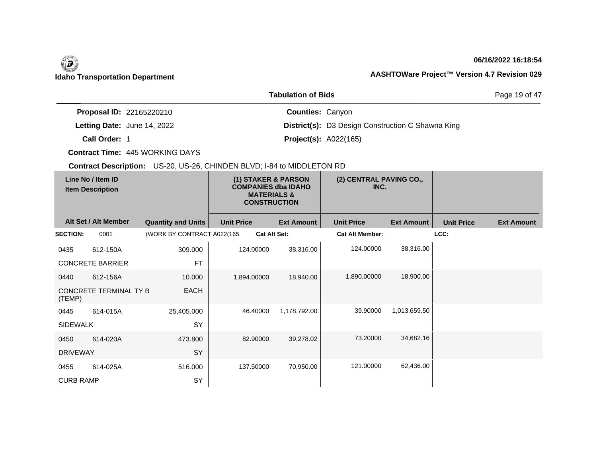## **06/16/2022 16:18:54**

Page 19 of 47

|                                 | <b>Tabulation of Bids</b>                                |
|---------------------------------|----------------------------------------------------------|
| <b>Proposal ID: 22165220210</b> | <b>Counties: Canyon</b>                                  |
| Letting Date: June 14, 2022     | <b>District(s):</b> D3 Design Construction C Shawna King |
| Call Order: 1                   | <b>Project(s): A022(165)</b>                             |

**Contract Time:** 445 WORKING DAYS

| Line No / Item ID<br><b>Item Description</b> |                         | (1) STAKER & PARSON<br><b>COMPANIES dba IDAHO</b><br><b>MATERIALS &amp;</b><br><b>CONSTRUCTION</b> |                   | (2) CENTRAL PAVING CO.,<br>INC. |                        |                   |                   |                   |
|----------------------------------------------|-------------------------|----------------------------------------------------------------------------------------------------|-------------------|---------------------------------|------------------------|-------------------|-------------------|-------------------|
|                                              | Alt Set / Alt Member    | <b>Quantity and Units</b>                                                                          | <b>Unit Price</b> | <b>Ext Amount</b>               | <b>Unit Price</b>      | <b>Ext Amount</b> | <b>Unit Price</b> | <b>Ext Amount</b> |
| <b>SECTION:</b>                              | 0001                    | (WORK BY CONTRACT A022(165                                                                         |                   | <b>Cat Alt Set:</b>             | <b>Cat Alt Member:</b> |                   | LCC:              |                   |
| 0435                                         | 612-150A                | 309.000                                                                                            | 124.00000         | 38,316.00                       | 124.00000              | 38,316.00         |                   |                   |
|                                              | <b>CONCRETE BARRIER</b> | <b>FT</b>                                                                                          |                   |                                 |                        |                   |                   |                   |
| 0440                                         | 612-156A                | 10.000                                                                                             | 1,894.00000       | 18,940.00                       | 1,890.00000            | 18,900.00         |                   |                   |
| (TEMP)                                       | CONCRETE TERMINAL TY B  | <b>EACH</b>                                                                                        |                   |                                 |                        |                   |                   |                   |
| 0445                                         | 614-015A                | 25,405.000                                                                                         | 46.40000          | 1,178,792.00                    | 39.90000               | 1,013,659.50      |                   |                   |
| <b>SIDEWALK</b>                              |                         | SY                                                                                                 |                   |                                 |                        |                   |                   |                   |
| 0450                                         | 614-020A                | 473.800                                                                                            | 82.90000          | 39,278.02                       | 73.20000               | 34,682.16         |                   |                   |
| <b>DRIVEWAY</b>                              |                         | SY                                                                                                 |                   |                                 |                        |                   |                   |                   |
| 0455                                         | 614-025A                | 516.000                                                                                            | 137.50000         | 70,950.00                       | 121.00000              | 62,436.00         |                   |                   |
| <b>CURB RAMP</b>                             |                         | SY                                                                                                 |                   |                                 |                        |                   |                   |                   |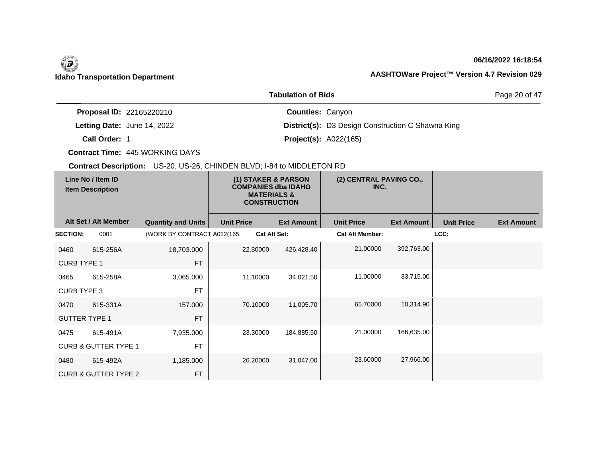## **06/16/2022 16:18:54**

Page 20 of 47

|                                 | <b>Tabulation of Bids</b>                                |
|---------------------------------|----------------------------------------------------------|
| <b>Proposal ID: 22165220210</b> | <b>Counties: Canyon</b>                                  |
| Letting Date: June 14, 2022     | <b>District(s):</b> D3 Design Construction C Shawna King |
| Call Order: 1                   | <b>Project(s): A022(165)</b>                             |

**Contract Time:** 445 WORKING DAYS

| Line No / Item ID<br><b>Item Description</b> |                                 |                            | (1) STAKER & PARSON<br><b>COMPANIES dba IDAHO</b><br><b>MATERIALS &amp;</b><br><b>CONSTRUCTION</b> | (2) CENTRAL PAVING CO.,<br>INC. |                        |                   |                   |                   |
|----------------------------------------------|---------------------------------|----------------------------|----------------------------------------------------------------------------------------------------|---------------------------------|------------------------|-------------------|-------------------|-------------------|
|                                              | Alt Set / Alt Member            | <b>Quantity and Units</b>  | <b>Unit Price</b>                                                                                  | <b>Ext Amount</b>               | <b>Unit Price</b>      | <b>Ext Amount</b> | <b>Unit Price</b> | <b>Ext Amount</b> |
| <b>SECTION:</b>                              | 0001                            | (WORK BY CONTRACT A022(165 |                                                                                                    | <b>Cat Alt Set:</b>             | <b>Cat Alt Member:</b> |                   | LCC:              |                   |
| 0460                                         | 615-256A                        | 18,703.000                 | 22.80000                                                                                           | 426,428.40                      | 21.00000               | 392,763.00        |                   |                   |
| <b>CURB TYPE 1</b>                           |                                 | <b>FT</b>                  |                                                                                                    |                                 |                        |                   |                   |                   |
| 0465                                         | 615-258A                        | 3,065.000                  | 11.10000                                                                                           | 34,021.50                       | 11.00000               | 33,715.00         |                   |                   |
| <b>CURB TYPE 3</b>                           |                                 | <b>FT</b>                  |                                                                                                    |                                 |                        |                   |                   |                   |
| 0470                                         | 615-331A                        | 157.000                    | 70.10000                                                                                           | 11,005.70                       | 65.70000               | 10,314.90         |                   |                   |
| <b>GUTTER TYPE 1</b>                         |                                 | <b>FT</b>                  |                                                                                                    |                                 |                        |                   |                   |                   |
| 0475                                         | 615-491A                        | 7,935.000                  | 23.30000                                                                                           | 184,885.50                      | 21.00000               | 166,635.00        |                   |                   |
|                                              | <b>CURB &amp; GUTTER TYPE 1</b> | <b>FT</b>                  |                                                                                                    |                                 |                        |                   |                   |                   |
| 0480                                         | 615-492A                        | 1,185.000                  | 26.20000                                                                                           | 31,047.00                       | 23.60000               | 27,966.00         |                   |                   |
|                                              | <b>CURB &amp; GUTTER TYPE 2</b> | <b>FT</b>                  |                                                                                                    |                                 |                        |                   |                   |                   |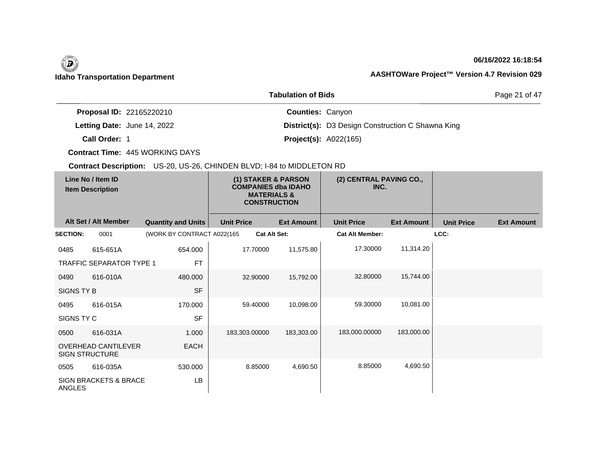## **06/16/2022 16:18:54**

Page 21 of 47

|                                 | <b>Tabulation of Bids</b>                                |
|---------------------------------|----------------------------------------------------------|
| <b>Proposal ID: 22165220210</b> | <b>Counties: Canyon</b>                                  |
| Letting Date: June 14, 2022     | <b>District(s):</b> D3 Design Construction C Shawna King |
| Call Order: 1                   | <b>Project(s): A022(165)</b>                             |

**Contract Time:** 445 WORKING DAYS

| Line No / Item ID<br><b>Item Description</b> |                                                     | (1) STAKER & PARSON<br><b>COMPANIES dba IDAHO</b><br><b>MATERIALS &amp;</b><br><b>CONSTRUCTION</b> |                     | (2) CENTRAL PAVING CO.,<br>INC. |                        |                   |                   |                   |
|----------------------------------------------|-----------------------------------------------------|----------------------------------------------------------------------------------------------------|---------------------|---------------------------------|------------------------|-------------------|-------------------|-------------------|
|                                              | Alt Set / Alt Member                                | <b>Quantity and Units</b>                                                                          | <b>Unit Price</b>   | <b>Ext Amount</b>               | <b>Unit Price</b>      | <b>Ext Amount</b> | <b>Unit Price</b> | <b>Ext Amount</b> |
| <b>SECTION:</b>                              | 0001                                                | (WORK BY CONTRACT A022(165                                                                         | <b>Cat Alt Set:</b> |                                 | <b>Cat Alt Member:</b> |                   | LCC:              |                   |
| 0485                                         | 615-651A                                            | 654.000                                                                                            | 17.70000            | 11,575.80                       | 17.30000               | 11,314.20         |                   |                   |
|                                              | <b>TRAFFIC SEPARATOR TYPE 1</b>                     | <b>FT</b>                                                                                          |                     |                                 |                        |                   |                   |                   |
| 0490                                         | 616-010A                                            | 480,000                                                                                            | 32.90000            | 15,792.00                       | 32.80000               | 15,744.00         |                   |                   |
| SIGNS TY B                                   |                                                     | <b>SF</b>                                                                                          |                     |                                 |                        |                   |                   |                   |
| 0495                                         | 616-015A                                            | 170.000                                                                                            | 59.40000            | 10,098.00                       | 59.30000               | 10,081.00         |                   |                   |
| SIGNS TY C                                   |                                                     | <b>SF</b>                                                                                          |                     |                                 |                        |                   |                   |                   |
| 0500                                         | 616-031A                                            | 1.000                                                                                              | 183,303.00000       | 183,303.00                      | 183,000.00000          | 183,000.00        |                   |                   |
|                                              | <b>OVERHEAD CANTILEVER</b><br><b>SIGN STRUCTURE</b> | <b>EACH</b>                                                                                        |                     |                                 |                        |                   |                   |                   |
| 0505                                         | 616-035A                                            | 530.000                                                                                            | 8.85000             | 4,690.50                        | 8.85000                | 4,690.50          |                   |                   |
| <b>ANGLES</b>                                | <b>SIGN BRACKETS &amp; BRACE</b>                    | <b>LB</b>                                                                                          |                     |                                 |                        |                   |                   |                   |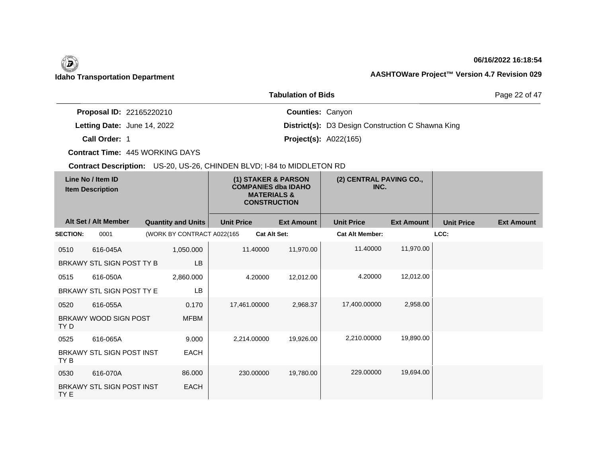## **06/16/2022 16:18:54**

Page 22 of 47

|                                 | <b>Tabulation of Bids</b>                                |
|---------------------------------|----------------------------------------------------------|
| <b>Proposal ID: 22165220210</b> | <b>Counties: Canyon</b>                                  |
| Letting Date: June 14, 2022     | <b>District(s):</b> D3 Design Construction C Shawna King |
| Call Order: 1                   | <b>Project(s): A022(165)</b>                             |

**Contract Time:** 445 WORKING DAYS

| Line No / Item ID<br><b>Item Description</b> |                           |                            | (1) STAKER & PARSON<br><b>COMPANIES dba IDAHO</b><br><b>MATERIALS &amp;</b><br><b>CONSTRUCTION</b> |                   | (2) CENTRAL PAVING CO.,<br>INC. |                   |                        |                   |                   |                   |
|----------------------------------------------|---------------------------|----------------------------|----------------------------------------------------------------------------------------------------|-------------------|---------------------------------|-------------------|------------------------|-------------------|-------------------|-------------------|
|                                              | Alt Set / Alt Member      | <b>Quantity and Units</b>  |                                                                                                    | <b>Unit Price</b> |                                 | <b>Ext Amount</b> | <b>Unit Price</b>      | <b>Ext Amount</b> | <b>Unit Price</b> | <b>Ext Amount</b> |
| <b>SECTION:</b>                              | 0001                      | (WORK BY CONTRACT A022(165 |                                                                                                    |                   | <b>Cat Alt Set:</b>             |                   | <b>Cat Alt Member:</b> |                   | LCC:              |                   |
| 0510                                         | 616-045A                  |                            | 1,050.000                                                                                          |                   | 11.40000                        | 11,970.00         | 11.40000               | 11,970.00         |                   |                   |
|                                              | BRKAWY STL SIGN POST TY B |                            | <b>LB</b>                                                                                          |                   |                                 |                   |                        |                   |                   |                   |
| 0515                                         | 616-050A                  |                            | 2,860.000                                                                                          |                   | 4.20000                         | 12,012.00         | 4.20000                | 12,012.00         |                   |                   |
|                                              | BRKAWY STL SIGN POST TY E |                            | LB                                                                                                 |                   |                                 |                   |                        |                   |                   |                   |
| 0520                                         | 616-055A                  |                            | 0.170                                                                                              |                   | 17,461.00000                    | 2,968.37          | 17,400.00000           | 2,958.00          |                   |                   |
| TY D                                         | BRKAWY WOOD SIGN POST     |                            | <b>MFBM</b>                                                                                        |                   |                                 |                   |                        |                   |                   |                   |
| 0525                                         | 616-065A                  |                            | 9.000                                                                                              |                   | 2,214.00000                     | 19,926.00         | 2,210.00000            | 19,890.00         |                   |                   |
| TY B                                         | BRKAWY STL SIGN POST INST |                            | <b>EACH</b>                                                                                        |                   |                                 |                   |                        |                   |                   |                   |
| 0530                                         | 616-070A                  |                            | 86.000                                                                                             |                   | 230.00000                       | 19,780.00         | 229.00000              | 19.694.00         |                   |                   |
| TY E                                         | BRKAWY STL SIGN POST INST |                            | EACH                                                                                               |                   |                                 |                   |                        |                   |                   |                   |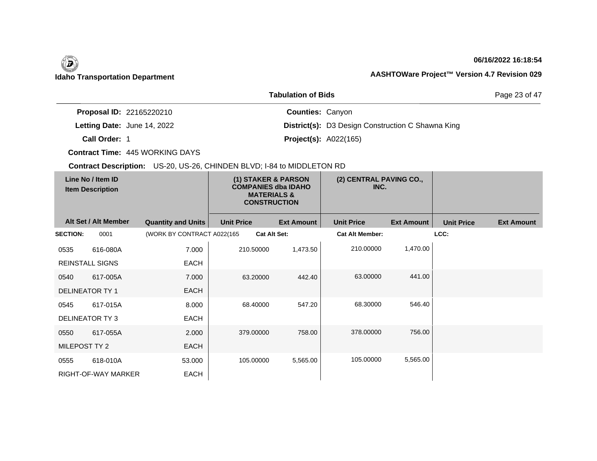## **06/16/2022 16:18:54**

Page 23 of 47

|                                 | <b>Tabulation of Bids</b>                                |
|---------------------------------|----------------------------------------------------------|
| <b>Proposal ID: 22165220210</b> | <b>Counties: Canyon</b>                                  |
| Letting Date: June 14, 2022     | <b>District(s):</b> D3 Design Construction C Shawna King |
| Call Order: 1                   | <b>Project(s): A022(165)</b>                             |

**Contract Time:** 445 WORKING DAYS

| Line No / Item ID<br><b>Item Description</b> |                        | (1) STAKER & PARSON<br><b>COMPANIES dba IDAHO</b><br><b>MATERIALS &amp;</b><br><b>CONSTRUCTION</b> |                   | (2) CENTRAL PAVING CO.,<br>INC. |                        |                   |                   |                   |
|----------------------------------------------|------------------------|----------------------------------------------------------------------------------------------------|-------------------|---------------------------------|------------------------|-------------------|-------------------|-------------------|
|                                              | Alt Set / Alt Member   | <b>Quantity and Units</b>                                                                          | <b>Unit Price</b> | <b>Ext Amount</b>               | <b>Unit Price</b>      | <b>Ext Amount</b> | <b>Unit Price</b> | <b>Ext Amount</b> |
| <b>SECTION:</b>                              | 0001                   | (WORK BY CONTRACT A022(165                                                                         |                   | <b>Cat Alt Set:</b>             | <b>Cat Alt Member:</b> |                   | LCC:              |                   |
| 0535                                         | 616-080A               | 7.000                                                                                              | 210.50000         | 1,473.50                        | 210.00000              | 1,470.00          |                   |                   |
|                                              | <b>REINSTALL SIGNS</b> | <b>EACH</b>                                                                                        |                   |                                 |                        |                   |                   |                   |
| 0540                                         | 617-005A               | 7.000                                                                                              | 63.20000          | 442.40                          | 63.00000               | 441.00            |                   |                   |
| <b>DELINEATOR TY 1</b>                       |                        | <b>EACH</b>                                                                                        |                   |                                 |                        |                   |                   |                   |
| 0545                                         | 617-015A               | 8.000                                                                                              | 68.40000          | 547.20                          | 68.30000               | 546.40            |                   |                   |
|                                              | <b>DELINEATOR TY3</b>  | <b>EACH</b>                                                                                        |                   |                                 |                        |                   |                   |                   |
| 0550                                         | 617-055A               | 2.000                                                                                              | 379.00000         | 758.00                          | 378.00000              | 756.00            |                   |                   |
| MILEPOST TY 2                                |                        | <b>EACH</b>                                                                                        |                   |                                 |                        |                   |                   |                   |
| 0555                                         | 618-010A               | 53.000                                                                                             | 105.00000         | 5,565.00                        | 105.00000              | 5,565.00          |                   |                   |
|                                              | RIGHT-OF-WAY MARKER    | EACH                                                                                               |                   |                                 |                        |                   |                   |                   |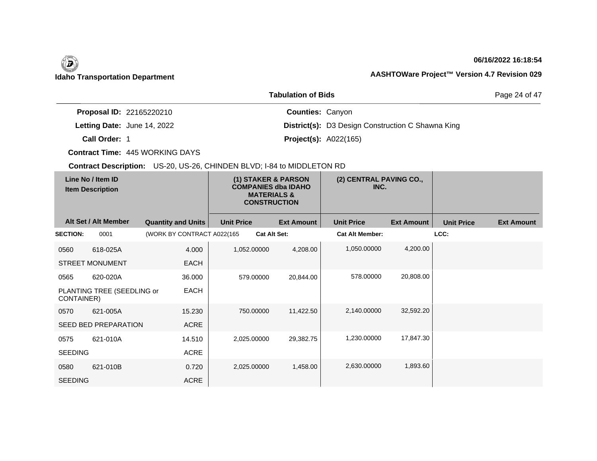## **06/16/2022 16:18:54**

Page 24 of 47

|                                    | <b>Tabulation of Bids</b>                                |
|------------------------------------|----------------------------------------------------------|
| <b>Proposal ID: 22165220210</b>    | <b>Counties: Canyon</b>                                  |
| <b>Letting Date: June 14, 2022</b> | <b>District(s):</b> D3 Design Construction C Shawna King |
| Call Order: 1                      | <b>Project(s): A022(165)</b>                             |

**Contract Time:** 445 WORKING DAYS

| Line No / Item ID<br><b>Item Description</b> |                             | (1) STAKER & PARSON<br><b>COMPANIES dba IDAHO</b><br><b>MATERIALS &amp;</b><br><b>CONSTRUCTION</b> |                   | (2) CENTRAL PAVING CO.,<br>INC. |                        |                   |                   |                   |
|----------------------------------------------|-----------------------------|----------------------------------------------------------------------------------------------------|-------------------|---------------------------------|------------------------|-------------------|-------------------|-------------------|
|                                              | Alt Set / Alt Member        | <b>Quantity and Units</b>                                                                          | <b>Unit Price</b> | <b>Ext Amount</b>               | <b>Unit Price</b>      | <b>Ext Amount</b> | <b>Unit Price</b> | <b>Ext Amount</b> |
| <b>SECTION:</b>                              | 0001                        | (WORK BY CONTRACT A022(165                                                                         |                   | <b>Cat Alt Set:</b>             | <b>Cat Alt Member:</b> |                   | LCC:              |                   |
| 0560                                         | 618-025A                    | 4.000                                                                                              | 1,052.00000       | 4,208.00                        | 1,050.00000            | 4,200.00          |                   |                   |
|                                              | <b>STREET MONUMENT</b>      | <b>EACH</b>                                                                                        |                   |                                 |                        |                   |                   |                   |
| 0565                                         | 620-020A                    | 36.000                                                                                             | 579.00000         | 20,844.00                       | 578.00000              | 20,808.00         |                   |                   |
| CONTAINER)                                   | PLANTING TREE (SEEDLING or  | <b>EACH</b>                                                                                        |                   |                                 |                        |                   |                   |                   |
| 0570                                         | 621-005A                    | 15.230                                                                                             | 750.00000         | 11,422.50                       | 2,140.00000            | 32,592.20         |                   |                   |
|                                              | <b>SEED BED PREPARATION</b> | <b>ACRE</b>                                                                                        |                   |                                 |                        |                   |                   |                   |
| 0575                                         | 621-010A                    | 14.510                                                                                             | 2,025.00000       | 29,382.75                       | 1,230.00000            | 17,847.30         |                   |                   |
| <b>SEEDING</b>                               |                             | ACRE                                                                                               |                   |                                 |                        |                   |                   |                   |
| 0580                                         | 621-010B                    | 0.720                                                                                              | 2,025.00000       | 1,458.00                        | 2,630.00000            | 1,893.60          |                   |                   |
| <b>SEEDING</b>                               |                             | ACRE                                                                                               |                   |                                 |                        |                   |                   |                   |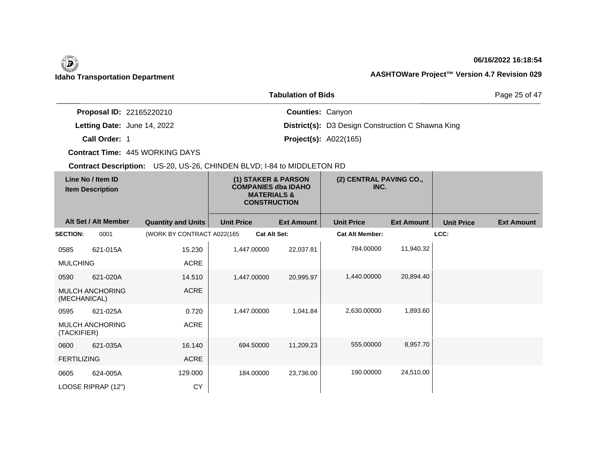## **06/16/2022 16:18:54**

Page 25 of 47

|                                    | <b>Tabulation of Bids</b>                                |
|------------------------------------|----------------------------------------------------------|
| <b>Proposal ID: 22165220210</b>    | <b>Counties: Canyon</b>                                  |
| <b>Letting Date: June 14, 2022</b> | <b>District(s):</b> D3 Design Construction C Shawna King |
| Call Order: 1                      | <b>Project(s): A022(165)</b>                             |

**Contract Time:** 445 WORKING DAYS

| Line No / Item ID<br><b>Item Description</b> |                            | (1) STAKER & PARSON<br><b>COMPANIES dba IDAHO</b><br><b>MATERIALS &amp;</b><br><b>CONSTRUCTION</b> |                   | (2) CENTRAL PAVING CO.,<br>INC. |                   |                   |                   |
|----------------------------------------------|----------------------------|----------------------------------------------------------------------------------------------------|-------------------|---------------------------------|-------------------|-------------------|-------------------|
| Alt Set / Alt Member                         | <b>Quantity and Units</b>  | <b>Unit Price</b>                                                                                  | <b>Ext Amount</b> | <b>Unit Price</b>               | <b>Ext Amount</b> | <b>Unit Price</b> | <b>Ext Amount</b> |
| 0001<br><b>SECTION:</b>                      | (WORK BY CONTRACT A022(165 | Cat Alt Set:                                                                                       |                   | <b>Cat Alt Member:</b>          |                   | LCC:              |                   |
| 621-015A<br>0585                             | 15.230                     | 1,447.00000                                                                                        | 22,037.81         | 784.00000                       | 11,940.32         |                   |                   |
| <b>MULCHING</b>                              | ACRE                       |                                                                                                    |                   |                                 |                   |                   |                   |
| 621-020A<br>0590                             | 14.510                     | 1,447.00000                                                                                        | 20,995.97         | 1,440.00000                     | 20,894.40         |                   |                   |
| <b>MULCH ANCHORING</b><br>(MECHANICAL)       | ACRE                       |                                                                                                    |                   |                                 |                   |                   |                   |
| 621-025A<br>0595                             | 0.720                      | 1,447.00000                                                                                        | 1,041.84          | 2,630.00000                     | 1,893.60          |                   |                   |
| <b>MULCH ANCHORING</b><br>(TACKIFIER)        | ACRE                       |                                                                                                    |                   |                                 |                   |                   |                   |
| 0600<br>621-035A                             | 16.140                     | 694.50000                                                                                          | 11,209.23         | 555.00000                       | 8,957.70          |                   |                   |
| <b>FERTILIZING</b>                           | <b>ACRE</b>                |                                                                                                    |                   |                                 |                   |                   |                   |
| 624-005A<br>0605                             | 129.000                    | 184.00000                                                                                          | 23,736.00         | 190.00000                       | 24,510.00         |                   |                   |
| LOOSE RIPRAP (12")                           | <b>CY</b>                  |                                                                                                    |                   |                                 |                   |                   |                   |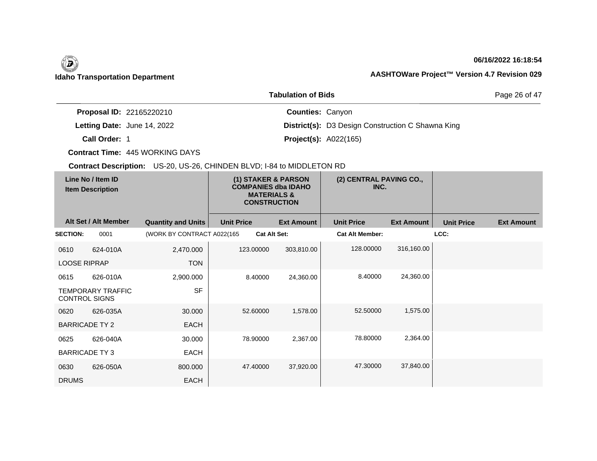## **06/16/2022 16:18:54**

Page 26 of 47

|                                 | <b>Tabulation of Bids</b>                                |
|---------------------------------|----------------------------------------------------------|
| <b>Proposal ID: 22165220210</b> | <b>Counties: Canyon</b>                                  |
| Letting Date: June 14, 2022     | <b>District(s):</b> D3 Design Construction C Shawna King |
| Call Order: 1                   | <b>Project(s): A022(165)</b>                             |

**Contract Time:** 445 WORKING DAYS

| Line No / Item ID<br><b>Item Description</b> |                          |                            | (1) STAKER & PARSON<br><b>COMPANIES dba IDAHO</b><br><b>MATERIALS &amp;</b><br><b>CONSTRUCTION</b> | (2) CENTRAL PAVING CO.,<br>INC. |                        |                   |                   |                   |
|----------------------------------------------|--------------------------|----------------------------|----------------------------------------------------------------------------------------------------|---------------------------------|------------------------|-------------------|-------------------|-------------------|
|                                              | Alt Set / Alt Member     | <b>Quantity and Units</b>  | <b>Unit Price</b>                                                                                  | <b>Ext Amount</b>               | <b>Unit Price</b>      | <b>Ext Amount</b> | <b>Unit Price</b> | <b>Ext Amount</b> |
| <b>SECTION:</b>                              | 0001                     | (WORK BY CONTRACT A022(165 |                                                                                                    | <b>Cat Alt Set:</b>             | <b>Cat Alt Member:</b> |                   | LCC:              |                   |
| 0610                                         | 624-010A                 | 2,470.000                  | 123.00000                                                                                          | 303,810.00                      | 128.00000              | 316,160.00        |                   |                   |
| <b>LOOSE RIPRAP</b>                          |                          | <b>TON</b>                 |                                                                                                    |                                 |                        |                   |                   |                   |
| 0615                                         | 626-010A                 | 2,900.000                  | 8.40000                                                                                            | 24,360.00                       | 8.40000                | 24,360.00         |                   |                   |
| <b>CONTROL SIGNS</b>                         | <b>TEMPORARY TRAFFIC</b> | <b>SF</b>                  |                                                                                                    |                                 |                        |                   |                   |                   |
| 0620                                         | 626-035A                 | 30.000                     | 52.60000                                                                                           | 1,578.00                        | 52.50000               | 1,575.00          |                   |                   |
| <b>BARRICADE TY 2</b>                        |                          | <b>EACH</b>                |                                                                                                    |                                 |                        |                   |                   |                   |
| 0625                                         | 626-040A                 | 30.000                     | 78.90000                                                                                           | 2,367.00                        | 78.80000               | 2,364.00          |                   |                   |
| <b>BARRICADE TY3</b>                         |                          | <b>EACH</b>                |                                                                                                    |                                 |                        |                   |                   |                   |
| 0630                                         | 626-050A                 | 800.000                    | 47.40000                                                                                           | 37,920.00                       | 47.30000               | 37,840.00         |                   |                   |
| <b>DRUMS</b>                                 |                          | EACH                       |                                                                                                    |                                 |                        |                   |                   |                   |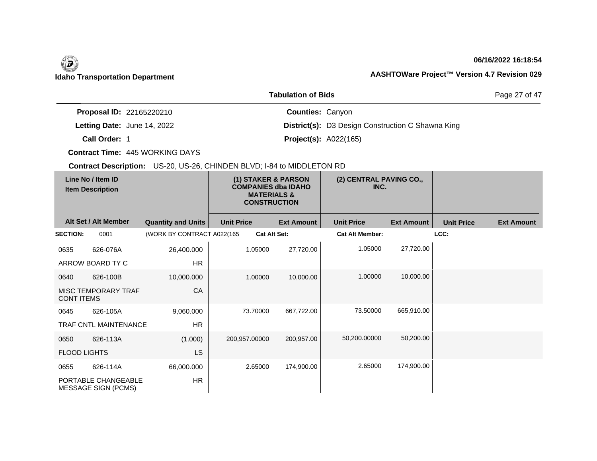## **06/16/2022 16:18:54**

Page 27 of 47

|                                 | <b>Tabulation of Bids</b>                                |
|---------------------------------|----------------------------------------------------------|
| <b>Proposal ID: 22165220210</b> | <b>Counties: Canyon</b>                                  |
| Letting Date: June 14, 2022     | <b>District(s):</b> D3 Design Construction C Shawna King |
| Call Order: 1                   | <b>Project(s): A022(165)</b>                             |

**Contract Time:** 445 WORKING DAYS

| Line No / Item ID<br><b>Item Description</b> |                                                   | (1) STAKER & PARSON<br><b>COMPANIES dba IDAHO</b><br><b>MATERIALS &amp;</b><br><b>CONSTRUCTION</b> |                   | (2) CENTRAL PAVING CO.,<br>INC. |                        |                   |                   |                   |
|----------------------------------------------|---------------------------------------------------|----------------------------------------------------------------------------------------------------|-------------------|---------------------------------|------------------------|-------------------|-------------------|-------------------|
|                                              | Alt Set / Alt Member                              | <b>Quantity and Units</b>                                                                          | <b>Unit Price</b> | <b>Ext Amount</b>               | <b>Unit Price</b>      | <b>Ext Amount</b> | <b>Unit Price</b> | <b>Ext Amount</b> |
| <b>SECTION:</b>                              | 0001                                              | (WORK BY CONTRACT A022(165                                                                         |                   | <b>Cat Alt Set:</b>             | <b>Cat Alt Member:</b> |                   | LCC:              |                   |
| 0635                                         | 626-076A                                          | 26,400.000                                                                                         | 1.05000           | 27,720.00                       | 1.05000                | 27,720.00         |                   |                   |
|                                              | ARROW BOARD TY C                                  | <b>HR</b>                                                                                          |                   |                                 |                        |                   |                   |                   |
| 0640                                         | 626-100B                                          | 10,000.000                                                                                         | 1.00000           | 10,000.00                       | 1.00000                | 10,000.00         |                   |                   |
| <b>CONT ITEMS</b>                            | MISC TEMPORARY TRAF                               | CA                                                                                                 |                   |                                 |                        |                   |                   |                   |
| 0645                                         | 626-105A                                          | 9,060.000                                                                                          | 73.70000          | 667,722.00                      | 73.50000               | 665,910.00        |                   |                   |
|                                              | <b>TRAF CNTL MAINTENANCE</b>                      | <b>HR</b>                                                                                          |                   |                                 |                        |                   |                   |                   |
| 0650                                         | 626-113A                                          | (1.000)                                                                                            | 200,957.00000     | 200,957.00                      | 50,200.00000           | 50,200.00         |                   |                   |
| <b>FLOOD LIGHTS</b>                          |                                                   | <b>LS</b>                                                                                          |                   |                                 |                        |                   |                   |                   |
| 0655                                         | 626-114A                                          | 66,000.000                                                                                         | 2.65000           | 174,900.00                      | 2.65000                | 174,900.00        |                   |                   |
|                                              | PORTABLE CHANGEABLE<br><b>MESSAGE SIGN (PCMS)</b> | <b>HR</b>                                                                                          |                   |                                 |                        |                   |                   |                   |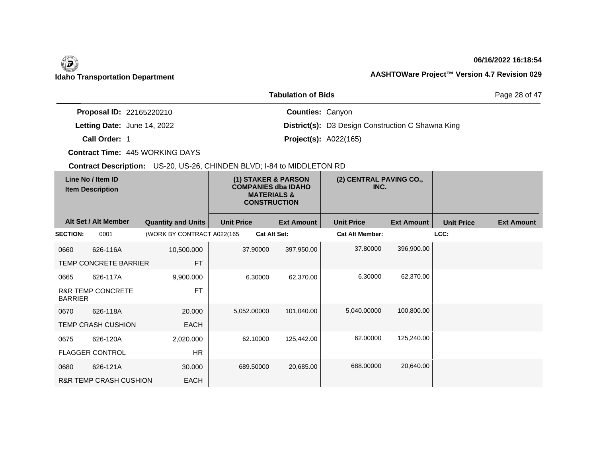## **06/16/2022 16:18:54**

Page 28 of 47

|                                    | <b>Tabulation of Bids</b>                                |
|------------------------------------|----------------------------------------------------------|
| <b>Proposal ID: 22165220210</b>    | <b>Counties: Canyon</b>                                  |
| <b>Letting Date: June 14, 2022</b> | <b>District(s):</b> D3 Design Construction C Shawna King |
| Call Order: 1                      | <b>Project(s): A022(165)</b>                             |

**Contract Time:** 445 WORKING DAYS

| Line No / Item ID<br><b>Item Description</b> |                                   | (1) STAKER & PARSON<br><b>COMPANIES dba IDAHO</b><br><b>MATERIALS &amp;</b><br><b>CONSTRUCTION</b> |                     | (2) CENTRAL PAVING CO.,<br>INC. |                        |                   |                   |                   |
|----------------------------------------------|-----------------------------------|----------------------------------------------------------------------------------------------------|---------------------|---------------------------------|------------------------|-------------------|-------------------|-------------------|
|                                              | Alt Set / Alt Member              | <b>Quantity and Units</b>                                                                          | <b>Unit Price</b>   | <b>Ext Amount</b>               | <b>Unit Price</b>      | <b>Ext Amount</b> | <b>Unit Price</b> | <b>Ext Amount</b> |
| <b>SECTION:</b>                              | 0001                              | (WORK BY CONTRACT A022(165                                                                         | <b>Cat Alt Set:</b> |                                 | <b>Cat Alt Member:</b> |                   | LCC:              |                   |
| 0660                                         | 626-116A                          | 10,500.000                                                                                         | 37.90000            | 397,950.00                      | 37.80000               | 396,900.00        |                   |                   |
|                                              | TEMP CONCRETE BARRIER             | <b>FT</b>                                                                                          |                     |                                 |                        |                   |                   |                   |
| 0665                                         | 626-117A                          | 9,900.000                                                                                          | 6.30000             | 62,370.00                       | 6.30000                | 62,370.00         |                   |                   |
| <b>BARRIER</b>                               | <b>R&amp;R TEMP CONCRETE</b>      | <b>FT</b>                                                                                          |                     |                                 |                        |                   |                   |                   |
| 0670                                         | 626-118A                          | 20.000                                                                                             | 5,052.00000         | 101,040.00                      | 5,040.00000            | 100,800.00        |                   |                   |
|                                              | <b>TEMP CRASH CUSHION</b>         | <b>EACH</b>                                                                                        |                     |                                 |                        |                   |                   |                   |
| 0675                                         | 626-120A                          | 2,020.000                                                                                          | 62.10000            | 125,442.00                      | 62.00000               | 125,240.00        |                   |                   |
|                                              | <b>FLAGGER CONTROL</b>            | <b>HR</b>                                                                                          |                     |                                 |                        |                   |                   |                   |
| 0680                                         | 626-121A                          | 30.000                                                                                             | 689.50000           | 20,685.00                       | 688,00000              | 20,640.00         |                   |                   |
|                                              | <b>R&amp;R TEMP CRASH CUSHION</b> | EACH                                                                                               |                     |                                 |                        |                   |                   |                   |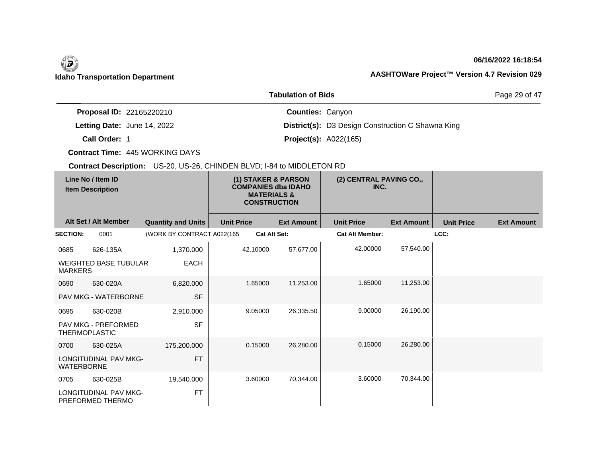## **06/16/2022 16:18:54**

Page 29 of 47

|                                 | <b>Tabulation of Bids</b>                                |
|---------------------------------|----------------------------------------------------------|
| <b>Proposal ID: 22165220210</b> | <b>Counties: Canyon</b>                                  |
| Letting Date: June 14, 2022     | <b>District(s):</b> D3 Design Construction C Shawna King |
| Call Order: 1                   | <b>Project(s): A022(165)</b>                             |

**Contract Time:** 445 WORKING DAYS

| Line No / Item ID<br><b>Item Description</b> |                                                  | (1) STAKER & PARSON<br><b>COMPANIES dba IDAHO</b><br><b>MATERIALS &amp;</b><br><b>CONSTRUCTION</b> |                   | (2) CENTRAL PAVING CO.,<br>INC. |                   |                        |                   |                   |                   |
|----------------------------------------------|--------------------------------------------------|----------------------------------------------------------------------------------------------------|-------------------|---------------------------------|-------------------|------------------------|-------------------|-------------------|-------------------|
|                                              | Alt Set / Alt Member                             | <b>Quantity and Units</b>                                                                          | <b>Unit Price</b> |                                 | <b>Ext Amount</b> | <b>Unit Price</b>      | <b>Ext Amount</b> | <b>Unit Price</b> | <b>Ext Amount</b> |
| <b>SECTION:</b>                              | 0001                                             | (WORK BY CONTRACT A022(165)                                                                        |                   | <b>Cat Alt Set:</b>             |                   | <b>Cat Alt Member:</b> |                   | LCC:              |                   |
| 0685                                         | 626-135A                                         | 1,370.000                                                                                          |                   | 42.10000                        | 57,677.00         | 42.00000               | 57,540.00         |                   |                   |
| <b>MARKERS</b>                               | <b>WEIGHTED BASE TUBULAR</b>                     | <b>EACH</b>                                                                                        |                   |                                 |                   |                        |                   |                   |                   |
| 0690                                         | 630-020A                                         | 6,820.000                                                                                          |                   | 1.65000                         | 11,253.00         | 1.65000                | 11,253.00         |                   |                   |
|                                              | <b>PAV MKG - WATERBORNE</b>                      | <b>SF</b>                                                                                          |                   |                                 |                   |                        |                   |                   |                   |
| 0695                                         | 630-020B                                         | 2,910.000                                                                                          |                   | 9.05000                         | 26,335.50         | 9.00000                | 26,190.00         |                   |                   |
| <b>THERMOPLASTIC</b>                         | <b>PAV MKG - PREFORMED</b>                       | <b>SF</b>                                                                                          |                   |                                 |                   |                        |                   |                   |                   |
| 0700                                         | 630-025A                                         | 175,200.000                                                                                        |                   | 0.15000                         | 26,280.00         | 0.15000                | 26,280.00         |                   |                   |
| <b>WATERBORNE</b>                            | <b>LONGITUDINAL PAV MKG-</b>                     | <b>FT</b>                                                                                          |                   |                                 |                   |                        |                   |                   |                   |
| 0705                                         | 630-025B                                         | 19,540.000                                                                                         |                   | 3.60000                         | 70,344.00         | 3.60000                | 70,344.00         |                   |                   |
|                                              | <b>LONGITUDINAL PAV MKG-</b><br>PREFORMED THERMO | <b>FT</b>                                                                                          |                   |                                 |                   |                        |                   |                   |                   |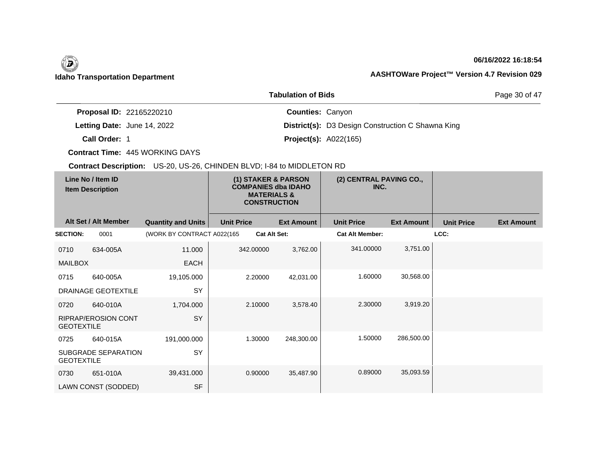## **06/16/2022 16:18:54**

Page 30 of 47

|                                 | <b>Tabulation of Bids</b>                                |
|---------------------------------|----------------------------------------------------------|
| <b>Proposal ID: 22165220210</b> | <b>Counties: Canyon</b>                                  |
| Letting Date: June 14, 2022     | <b>District(s):</b> D3 Design Construction C Shawna King |
| Call Order: 1                   | <b>Project(s): A022(165)</b>                             |

**Contract Time:** 445 WORKING DAYS

|                   | Line No / Item ID<br><b>Item Description</b> |                            |                   | (1) STAKER & PARSON<br><b>COMPANIES dba IDAHO</b><br><b>MATERIALS &amp;</b><br><b>CONSTRUCTION</b> | (2) CENTRAL PAVING CO.,<br>INC. |                   |                   |                   |
|-------------------|----------------------------------------------|----------------------------|-------------------|----------------------------------------------------------------------------------------------------|---------------------------------|-------------------|-------------------|-------------------|
|                   | Alt Set / Alt Member                         | <b>Quantity and Units</b>  | <b>Unit Price</b> | <b>Ext Amount</b>                                                                                  | <b>Unit Price</b>               | <b>Ext Amount</b> | <b>Unit Price</b> | <b>Ext Amount</b> |
| <b>SECTION:</b>   | 0001                                         | (WORK BY CONTRACT A022(165 |                   | Cat Alt Set:                                                                                       | <b>Cat Alt Member:</b>          |                   | LCC:              |                   |
| 0710              | 634-005A                                     | 11.000                     | 342.00000         | 3,762.00                                                                                           | 341.00000                       | 3,751.00          |                   |                   |
| <b>MAILBOX</b>    |                                              | <b>EACH</b>                |                   |                                                                                                    |                                 |                   |                   |                   |
| 0715              | 640-005A                                     | 19,105.000                 | 2.20000           | 42,031.00                                                                                          | 1.60000                         | 30,568.00         |                   |                   |
|                   | DRAINAGE GEOTEXTILE                          | SY                         |                   |                                                                                                    |                                 |                   |                   |                   |
| 0720              | 640-010A                                     | 1,704.000                  | 2.10000           | 3,578.40                                                                                           | 2.30000                         | 3,919.20          |                   |                   |
| <b>GEOTEXTILE</b> | <b>RIPRAP/EROSION CONT</b>                   | SY                         |                   |                                                                                                    |                                 |                   |                   |                   |
| 0725              | 640-015A                                     | 191,000.000                | 1.30000           | 248,300.00                                                                                         | 1.50000                         | 286,500.00        |                   |                   |
| <b>GEOTEXTILE</b> | <b>SUBGRADE SEPARATION</b>                   | SY                         |                   |                                                                                                    |                                 |                   |                   |                   |
| 0730              | 651-010A                                     | 39,431.000                 | 0.90000           | 35,487.90                                                                                          | 0.89000                         | 35,093.59         |                   |                   |
|                   | LAWN CONST (SODDED)                          | <b>SF</b>                  |                   |                                                                                                    |                                 |                   |                   |                   |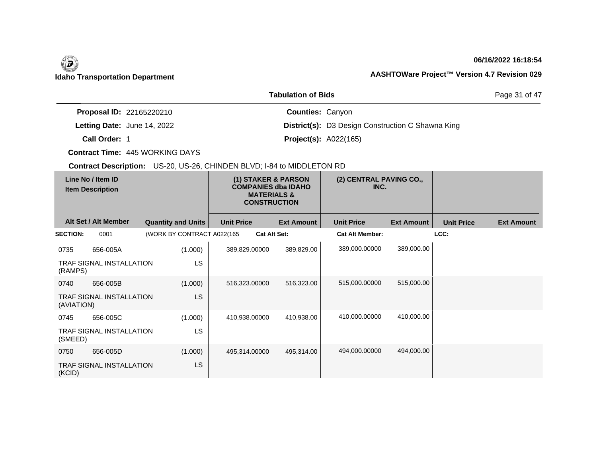## **06/16/2022 16:18:54**

Page 31 of 47

|                                 | <b>Tabulation of Bids</b>                                |
|---------------------------------|----------------------------------------------------------|
| <b>Proposal ID: 22165220210</b> | <b>Counties: Canyon</b>                                  |
| Letting Date: June 14, 2022     | <b>District(s):</b> D3 Design Construction C Shawna King |
| Call Order: 1                   | <b>Project(s): A022(165)</b>                             |

**Contract Time:** 445 WORKING DAYS

|                 | Line No / Item ID<br><b>Item Description</b> |                            |                   | (1) STAKER & PARSON<br><b>COMPANIES dba IDAHO</b><br><b>MATERIALS &amp;</b><br><b>CONSTRUCTION</b> |                        | (2) CENTRAL PAVING CO.,<br>INC. |                   |                   |
|-----------------|----------------------------------------------|----------------------------|-------------------|----------------------------------------------------------------------------------------------------|------------------------|---------------------------------|-------------------|-------------------|
|                 | Alt Set / Alt Member                         | <b>Quantity and Units</b>  | <b>Unit Price</b> | <b>Ext Amount</b>                                                                                  | <b>Unit Price</b>      | <b>Ext Amount</b>               | <b>Unit Price</b> | <b>Ext Amount</b> |
| <b>SECTION:</b> | 0001                                         | (WORK BY CONTRACT A022(165 |                   | <b>Cat Alt Set:</b>                                                                                | <b>Cat Alt Member:</b> |                                 | LCC:              |                   |
| 0735            | 656-005A                                     | (1.000)                    | 389,829.00000     | 389,829.00                                                                                         | 389,000.00000          | 389,000.00                      |                   |                   |
| (RAMPS)         | <b>TRAF SIGNAL INSTALLATION</b>              | LS                         |                   |                                                                                                    |                        |                                 |                   |                   |
| 0740            | 656-005B                                     | (1.000)                    | 516,323.00000     | 516,323.00                                                                                         | 515,000.00000          | 515,000.00                      |                   |                   |
| (AVIATION)      | <b>TRAF SIGNAL INSTALLATION</b>              | LS                         |                   |                                                                                                    |                        |                                 |                   |                   |
| 0745            | 656-005C                                     | (1.000)                    | 410,938.00000     | 410,938.00                                                                                         | 410,000.00000          | 410,000.00                      |                   |                   |
| (SMEED)         | <b>TRAF SIGNAL INSTALLATION</b>              | LS                         |                   |                                                                                                    |                        |                                 |                   |                   |
| 0750            | 656-005D                                     | (1.000)                    | 495,314.00000     | 495,314.00                                                                                         | 494,000.00000          | 494,000.00                      |                   |                   |
| (KCID)          | <b>TRAF SIGNAL INSTALLATION</b>              | LS                         |                   |                                                                                                    |                        |                                 |                   |                   |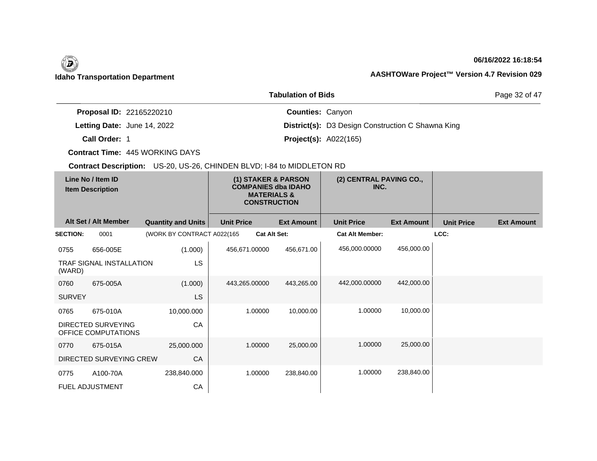## **06/16/2022 16:18:54**

Page 32 of 47

|                                 | <b>Tabulation of Bids</b>                                |
|---------------------------------|----------------------------------------------------------|
| <b>Proposal ID: 22165220210</b> | <b>Counties: Canyon</b>                                  |
| Letting Date: June 14, 2022     | <b>District(s):</b> D3 Design Construction C Shawna King |
| Call Order: 1                   | <b>Project(s): A022(165)</b>                             |

**Contract Time:** 445 WORKING DAYS

|                 | Line No / Item ID<br><b>Item Description</b> |                            |                   | (1) STAKER & PARSON<br><b>COMPANIES dba IDAHO</b><br><b>MATERIALS &amp;</b><br><b>CONSTRUCTION</b> | (2) CENTRAL PAVING CO.,<br>INC. |                   |                   |                   |
|-----------------|----------------------------------------------|----------------------------|-------------------|----------------------------------------------------------------------------------------------------|---------------------------------|-------------------|-------------------|-------------------|
|                 | Alt Set / Alt Member                         | <b>Quantity and Units</b>  | <b>Unit Price</b> | <b>Ext Amount</b>                                                                                  | <b>Unit Price</b>               | <b>Ext Amount</b> | <b>Unit Price</b> | <b>Ext Amount</b> |
| <b>SECTION:</b> | 0001                                         | (WORK BY CONTRACT A022(165 |                   | <b>Cat Alt Set:</b>                                                                                | <b>Cat Alt Member:</b>          |                   | LCC:              |                   |
| 0755            | 656-005E                                     | (1.000)                    | 456,671.00000     | 456,671.00                                                                                         | 456,000.00000                   | 456,000.00        |                   |                   |
| (WARD)          | <b>TRAF SIGNAL INSTALLATION</b>              | LS                         |                   |                                                                                                    |                                 |                   |                   |                   |
| 0760            | 675-005A                                     | (1.000)                    | 443,265.00000     | 443,265.00                                                                                         | 442,000.00000                   | 442,000.00        |                   |                   |
| <b>SURVEY</b>   |                                              | LS.                        |                   |                                                                                                    |                                 |                   |                   |                   |
| 0765            | 675-010A                                     | 10,000.000                 |                   | 1.00000<br>10,000.00                                                                               | 1.00000                         | 10,000.00         |                   |                   |
|                 | DIRECTED SURVEYING<br>OFFICE COMPUTATIONS    | CA                         |                   |                                                                                                    |                                 |                   |                   |                   |
| 0770            | 675-015A                                     | 25,000.000                 |                   | 1.00000<br>25,000.00                                                                               | 1.00000                         | 25,000.00         |                   |                   |
|                 | DIRECTED SURVEYING CREW                      | CA                         |                   |                                                                                                    |                                 |                   |                   |                   |
| 0775            | A100-70A                                     | 238,840.000                |                   | 1.00000<br>238,840.00                                                                              | 1.00000                         | 238,840.00        |                   |                   |
|                 | FUEL ADJUSTMENT                              | CA                         |                   |                                                                                                    |                                 |                   |                   |                   |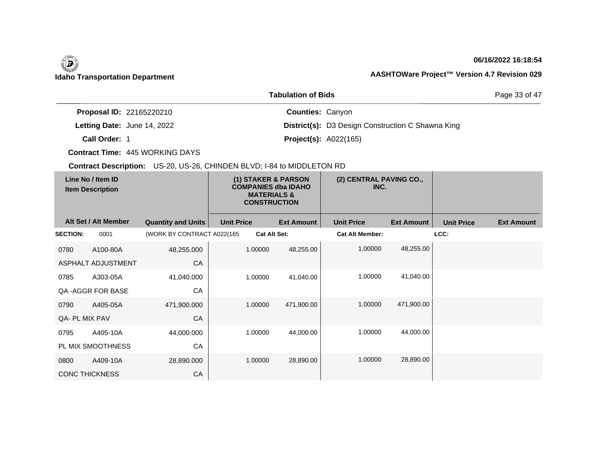## **06/16/2022 16:18:54**

Page 33 of 47

|                                 | <b>Tabulation of Bids</b>                                |
|---------------------------------|----------------------------------------------------------|
| <b>Proposal ID: 22165220210</b> | <b>Counties: Canyon</b>                                  |
| Letting Date: June 14, 2022     | <b>District(s):</b> D3 Design Construction C Shawna King |
| Call Order: 1                   | <b>Project(s):</b> $A022(165)$                           |

**Contract Time:** 445 WORKING DAYS

| Line No / Item ID<br><b>Item Description</b> |                       | (1) STAKER & PARSON<br><b>COMPANIES dba IDAHO</b><br><b>MATERIALS &amp;</b><br><b>CONSTRUCTION</b> |                   | (2) CENTRAL PAVING CO.,<br>INC. |                   |                        |                   |                   |                   |
|----------------------------------------------|-----------------------|----------------------------------------------------------------------------------------------------|-------------------|---------------------------------|-------------------|------------------------|-------------------|-------------------|-------------------|
|                                              | Alt Set / Alt Member  | <b>Quantity and Units</b>                                                                          | <b>Unit Price</b> |                                 | <b>Ext Amount</b> | <b>Unit Price</b>      | <b>Ext Amount</b> | <b>Unit Price</b> | <b>Ext Amount</b> |
| <b>SECTION:</b>                              | 0001                  | (WORK BY CONTRACT A022(165                                                                         |                   | <b>Cat Alt Set:</b>             |                   | <b>Cat Alt Member:</b> |                   | LCC:              |                   |
| 0780                                         | A100-80A              | 48,255.000                                                                                         |                   | 1.00000                         | 48,255.00         | 1.00000                | 48,255.00         |                   |                   |
|                                              | ASPHALT ADJUSTMENT    | CA                                                                                                 |                   |                                 |                   |                        |                   |                   |                   |
| 0785                                         | A303-05A              | 41,040.000                                                                                         |                   | 1.00000                         | 41,040.00         | 1.00000                | 41,040.00         |                   |                   |
|                                              | QA - AGGR FOR BASE    | CA                                                                                                 |                   |                                 |                   |                        |                   |                   |                   |
| 0790                                         | A405-05A              | 471,900.000                                                                                        |                   | 1.00000                         | 471,900.00        | 1.00000                | 471,900.00        |                   |                   |
| QA- PL MIX PAV                               |                       | CA                                                                                                 |                   |                                 |                   |                        |                   |                   |                   |
| 0795                                         | A405-10A              | 44,000.000                                                                                         |                   | 1.00000                         | 44,000.00         | 1.00000                | 44,000.00         |                   |                   |
|                                              | PL MIX SMOOTHNESS     | CA                                                                                                 |                   |                                 |                   |                        |                   |                   |                   |
| 0800                                         | A409-10A              | 28,890.000                                                                                         |                   | 1.00000                         | 28,890.00         | 1.00000                | 28,890.00         |                   |                   |
|                                              | <b>CONC THICKNESS</b> | CA                                                                                                 |                   |                                 |                   |                        |                   |                   |                   |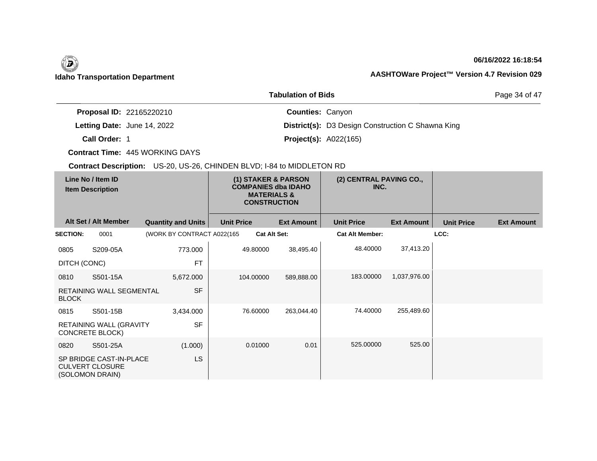## **06/16/2022 16:18:54**

Page 34 of 47

|                                    | <b>Tabulation of Bids</b>                                |
|------------------------------------|----------------------------------------------------------|
| <b>Proposal ID: 22165220210</b>    | <b>Counties: Canyon</b>                                  |
| <b>Letting Date: June 14, 2022</b> | <b>District(s):</b> D3 Design Construction C Shawna King |
| Call Order: 1                      | <b>Project(s): A022(165)</b>                             |

**Contract Time:** 445 WORKING DAYS

|                 | Line No / Item ID<br><b>Item Description</b>                         |                            |                   | (1) STAKER & PARSON<br><b>COMPANIES dba IDAHO</b><br><b>MATERIALS &amp;</b><br><b>CONSTRUCTION</b> | (2) CENTRAL PAVING CO.,<br>INC. |                   |                   |                   |
|-----------------|----------------------------------------------------------------------|----------------------------|-------------------|----------------------------------------------------------------------------------------------------|---------------------------------|-------------------|-------------------|-------------------|
|                 | Alt Set / Alt Member                                                 | <b>Quantity and Units</b>  | <b>Unit Price</b> | <b>Ext Amount</b>                                                                                  | <b>Unit Price</b>               | <b>Ext Amount</b> | <b>Unit Price</b> | <b>Ext Amount</b> |
| <b>SECTION:</b> | 0001                                                                 | (WORK BY CONTRACT A022(165 |                   | <b>Cat Alt Set:</b>                                                                                | <b>Cat Alt Member:</b>          |                   | LCC:              |                   |
| 0805            | S209-05A                                                             | 773.000                    | 49.80000          | 38,495.40                                                                                          | 48.40000                        | 37,413.20         |                   |                   |
| DITCH (CONC)    |                                                                      | <b>FT</b>                  |                   |                                                                                                    |                                 |                   |                   |                   |
| 0810            | S501-15A                                                             | 5,672.000                  | 104.00000         | 589,888.00                                                                                         | 183.00000                       | 1,037,976.00      |                   |                   |
| <b>BLOCK</b>    | RETAINING WALL SEGMENTAL                                             | <b>SF</b>                  |                   |                                                                                                    |                                 |                   |                   |                   |
| 0815            | S501-15B                                                             | 3,434.000                  | 76.60000          | 263,044.40                                                                                         | 74.40000                        | 255,489.60        |                   |                   |
|                 | RETAINING WALL (GRAVITY<br><b>CONCRETE BLOCK)</b>                    | <b>SF</b>                  |                   |                                                                                                    |                                 |                   |                   |                   |
| 0820            | S501-25A                                                             | (1.000)                    | 0.01000           | 0.01                                                                                               | 525.00000                       | 525.00            |                   |                   |
|                 | SP BRIDGE CAST-IN-PLACE<br><b>CULVERT CLOSURE</b><br>(SOLOMON DRAIN) | LS                         |                   |                                                                                                    |                                 |                   |                   |                   |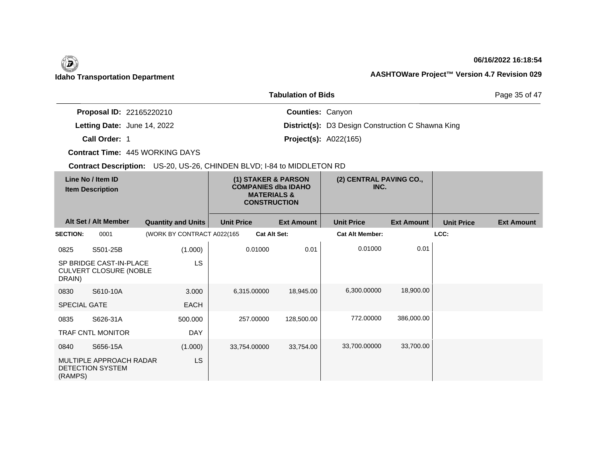## **06/16/2022 16:18:54**

Page 35 of 47

|                                 | <b>Tabulation of Bids</b>                                |
|---------------------------------|----------------------------------------------------------|
| <b>Proposal ID: 22165220210</b> | <b>Counties: Canyon</b>                                  |
| Letting Date: June 14, 2022     | <b>District(s):</b> D3 Design Construction C Shawna King |
| Call Order: 1                   | <b>Project(s): A022(165)</b>                             |

**Contract Time:** 445 WORKING DAYS

|                     | Line No / Item ID<br><b>Item Description</b>             |                            |                   | (1) STAKER & PARSON<br><b>COMPANIES dba IDAHO</b><br><b>MATERIALS &amp;</b><br><b>CONSTRUCTION</b> | (2) CENTRAL PAVING CO.,<br>INC. |                   |                   |                   |
|---------------------|----------------------------------------------------------|----------------------------|-------------------|----------------------------------------------------------------------------------------------------|---------------------------------|-------------------|-------------------|-------------------|
|                     | Alt Set / Alt Member                                     | <b>Quantity and Units</b>  | <b>Unit Price</b> | <b>Ext Amount</b>                                                                                  | <b>Unit Price</b>               | <b>Ext Amount</b> | <b>Unit Price</b> | <b>Ext Amount</b> |
| <b>SECTION:</b>     | 0001                                                     | (WORK BY CONTRACT A022(165 |                   | <b>Cat Alt Set:</b>                                                                                | <b>Cat Alt Member:</b>          |                   | LCC:              |                   |
| 0825                | S501-25B                                                 | (1.000)                    | 0.01000           | 0.01                                                                                               | 0.01000                         | 0.01              |                   |                   |
| DRAIN)              | SP BRIDGE CAST-IN-PLACE<br><b>CULVERT CLOSURE (NOBLE</b> | LS                         |                   |                                                                                                    |                                 |                   |                   |                   |
| 0830                | S610-10A                                                 | 3.000                      | 6,315.00000       | 18,945.00                                                                                          | 6,300.00000                     | 18,900.00         |                   |                   |
| <b>SPECIAL GATE</b> |                                                          | EACH                       |                   |                                                                                                    |                                 |                   |                   |                   |
| 0835                | S626-31A                                                 | 500.000                    | 257.00000         | 128,500.00                                                                                         | 772.00000                       | 386,000.00        |                   |                   |
|                     | <b>TRAF CNTL MONITOR</b>                                 | <b>DAY</b>                 |                   |                                                                                                    |                                 |                   |                   |                   |
| 0840                | S656-15A                                                 | (1.000)                    | 33,754.00000      | 33,754.00                                                                                          | 33,700,00000                    | 33,700.00         |                   |                   |
| (RAMPS)             | MULTIPLE APPROACH RADAR<br><b>DETECTION SYSTEM</b>       | LS                         |                   |                                                                                                    |                                 |                   |                   |                   |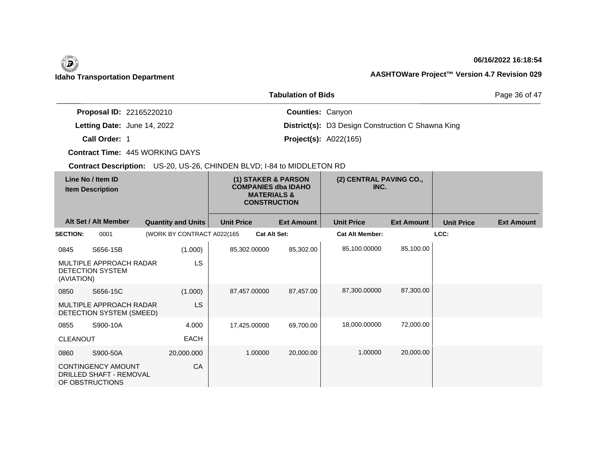## **06/16/2022 16:18:54**

Page 36 of 47

|                                    | <b>Tabulation of Bids</b>                                |
|------------------------------------|----------------------------------------------------------|
| <b>Proposal ID: 22165220210</b>    | <b>Counties: Canyon</b>                                  |
| <b>Letting Date: June 14, 2022</b> | <b>District(s):</b> D3 Design Construction C Shawna King |
| Call Order: 1                      | <b>Project(s): A022(165)</b>                             |

**Contract Time:** 445 WORKING DAYS

| Line No / Item ID<br><b>Item Description</b> |                                                                         | (1) STAKER & PARSON<br><b>COMPANIES dba IDAHO</b><br><b>MATERIALS &amp;</b><br><b>CONSTRUCTION</b> |                   | (2) CENTRAL PAVING CO.,<br>INC. |                        |                   |                   |                   |
|----------------------------------------------|-------------------------------------------------------------------------|----------------------------------------------------------------------------------------------------|-------------------|---------------------------------|------------------------|-------------------|-------------------|-------------------|
|                                              | Alt Set / Alt Member                                                    | <b>Quantity and Units</b>                                                                          | <b>Unit Price</b> | <b>Ext Amount</b>               | <b>Unit Price</b>      | <b>Ext Amount</b> | <b>Unit Price</b> | <b>Ext Amount</b> |
| <b>SECTION:</b>                              | 0001                                                                    | (WORK BY CONTRACT A022(165                                                                         |                   | <b>Cat Alt Set:</b>             | <b>Cat Alt Member:</b> |                   | LCC:              |                   |
| 0845                                         | S656-15B                                                                | (1.000)                                                                                            | 85,302.00000      | 85,302.00                       | 85,100.00000           | 85,100.00         |                   |                   |
| (AVIATION)                                   | MULTIPLE APPROACH RADAR<br>DETECTION SYSTEM                             | <b>LS</b>                                                                                          |                   |                                 |                        |                   |                   |                   |
| 0850                                         | S656-15C                                                                | (1.000)                                                                                            | 87,457.00000      | 87,457.00                       | 87,300.00000           | 87,300.00         |                   |                   |
|                                              | MULTIPLE APPROACH RADAR<br>DETECTION SYSTEM (SMEED)                     | <b>LS</b>                                                                                          |                   |                                 |                        |                   |                   |                   |
| 0855                                         | S900-10A                                                                | 4.000                                                                                              | 17,425.00000      | 69,700.00                       | 18,000.00000           | 72,000.00         |                   |                   |
| <b>CLEANOUT</b>                              |                                                                         | <b>EACH</b>                                                                                        |                   |                                 |                        |                   |                   |                   |
| 0860                                         | S900-50A                                                                | 20,000.000                                                                                         | 1.00000           | 20,000.00                       | 1.00000                | 20,000.00         |                   |                   |
|                                              | <b>CONTINGENCY AMOUNT</b><br>DRILLED SHAFT - REMOVAL<br>OF OBSTRUCTIONS | CA                                                                                                 |                   |                                 |                        |                   |                   |                   |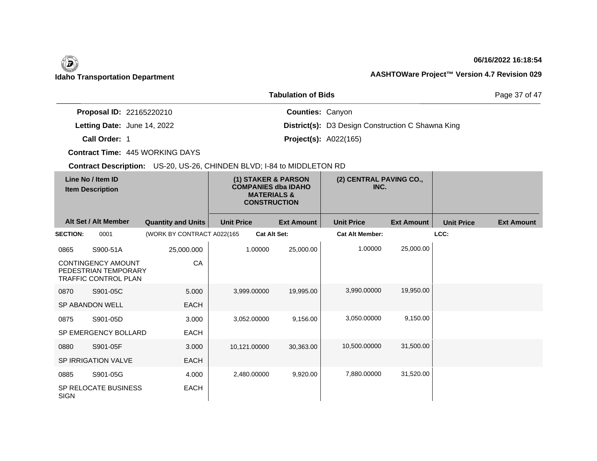## **06/16/2022 16:18:54**

Page 37 of 47

|                                    | <b>Tabulation of Bids</b>                                |
|------------------------------------|----------------------------------------------------------|
| <b>Proposal ID: 22165220210</b>    | <b>Counties: Canyon</b>                                  |
| <b>Letting Date: June 14, 2022</b> | <b>District(s):</b> D3 Design Construction C Shawna King |
| Call Order: 1                      | <b>Project(s): A022(165)</b>                             |

**Contract Time:** 445 WORKING DAYS

| Line No / Item ID<br><b>Item Description</b> |                                                                           |                            | (1) STAKER & PARSON<br><b>COMPANIES dba IDAHO</b><br><b>MATERIALS &amp;</b><br><b>CONSTRUCTION</b> |                     |                   | (2) CENTRAL PAVING CO.,<br>INC. |                   |                   |                   |
|----------------------------------------------|---------------------------------------------------------------------------|----------------------------|----------------------------------------------------------------------------------------------------|---------------------|-------------------|---------------------------------|-------------------|-------------------|-------------------|
|                                              | Alt Set / Alt Member                                                      | <b>Quantity and Units</b>  | <b>Unit Price</b>                                                                                  |                     | <b>Ext Amount</b> | <b>Unit Price</b>               | <b>Ext Amount</b> | <b>Unit Price</b> | <b>Ext Amount</b> |
| <b>SECTION:</b>                              | 0001                                                                      | (WORK BY CONTRACT A022(165 |                                                                                                    | <b>Cat Alt Set:</b> |                   | <b>Cat Alt Member:</b>          |                   | LCC:              |                   |
| 0865                                         | S900-51A                                                                  | 25,000.000                 |                                                                                                    | 1.00000             | 25,000.00         | 1.00000                         | 25,000.00         |                   |                   |
|                                              | <b>CONTINGENCY AMOUNT</b><br>PEDESTRIAN TEMPORARY<br>TRAFFIC CONTROL PLAN | CA                         |                                                                                                    |                     |                   |                                 |                   |                   |                   |
| 0870                                         | S901-05C                                                                  | 5.000                      |                                                                                                    | 3,999.00000         | 19,995.00         | 3,990.00000                     | 19,950.00         |                   |                   |
|                                              | <b>SP ABANDON WELL</b>                                                    | <b>EACH</b>                |                                                                                                    |                     |                   |                                 |                   |                   |                   |
| 0875                                         | S901-05D                                                                  | 3.000                      |                                                                                                    | 3,052.00000         | 9,156.00          | 3,050.00000                     | 9,150.00          |                   |                   |
|                                              | SP EMERGENCY BOLLARD                                                      | <b>EACH</b>                |                                                                                                    |                     |                   |                                 |                   |                   |                   |
| 0880                                         | S901-05F                                                                  | 3.000                      | 10,121.00000                                                                                       |                     | 30,363.00         | 10,500.00000                    | 31,500.00         |                   |                   |
|                                              | <b>SP IRRIGATION VALVE</b>                                                | <b>EACH</b>                |                                                                                                    |                     |                   |                                 |                   |                   |                   |
| 0885                                         | S901-05G                                                                  | 4.000                      |                                                                                                    | 2,480.00000         | 9,920.00          | 7,880.00000                     | 31,520.00         |                   |                   |
| <b>SIGN</b>                                  | SP RELOCATE BUSINESS                                                      | EACH                       |                                                                                                    |                     |                   |                                 |                   |                   |                   |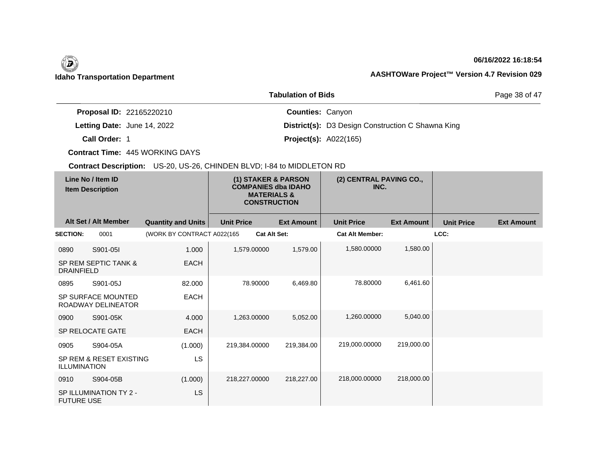## **06/16/2022 16:18:54**

Page 38 of 47

|                                    | <b>Tabulation of Bids</b>                                |
|------------------------------------|----------------------------------------------------------|
| <b>Proposal ID: 22165220210</b>    | <b>Counties: Canyon</b>                                  |
| <b>Letting Date: June 14, 2022</b> | <b>District(s):</b> D3 Design Construction C Shawna King |
| Call Order: 1                      | <b>Project(s): A022(165)</b>                             |

**Contract Time:** 445 WORKING DAYS

| Line No / Item ID<br><b>Item Description</b> |                                                 | (1) STAKER & PARSON<br><b>COMPANIES dba IDAHO</b><br><b>MATERIALS &amp;</b><br><b>CONSTRUCTION</b> |                     | (2) CENTRAL PAVING CO.,<br>INC. |                        |                   |                   |                   |
|----------------------------------------------|-------------------------------------------------|----------------------------------------------------------------------------------------------------|---------------------|---------------------------------|------------------------|-------------------|-------------------|-------------------|
|                                              | Alt Set / Alt Member                            | <b>Quantity and Units</b>                                                                          | <b>Unit Price</b>   | <b>Ext Amount</b>               | <b>Unit Price</b>      | <b>Ext Amount</b> | <b>Unit Price</b> | <b>Ext Amount</b> |
| <b>SECTION:</b>                              | 0001                                            | (WORK BY CONTRACT A022(165)                                                                        | <b>Cat Alt Set:</b> |                                 | <b>Cat Alt Member:</b> |                   | LCC:              |                   |
| 0890                                         | S901-05I                                        | 1.000                                                                                              | 1,579.00000         | 1,579.00                        | 1,580.00000            | 1,580.00          |                   |                   |
| <b>DRAINFIELD</b>                            | SP REM SEPTIC TANK &                            | <b>EACH</b>                                                                                        |                     |                                 |                        |                   |                   |                   |
| 0895                                         | S901-05J                                        | 82.000                                                                                             | 78.90000            | 6,469.80                        | 78.80000               | 6,461.60          |                   |                   |
|                                              | <b>SP SURFACE MOUNTED</b><br>ROADWAY DELINEATOR | <b>EACH</b>                                                                                        |                     |                                 |                        |                   |                   |                   |
| 0900                                         | S901-05K                                        | 4.000                                                                                              | 1,263.00000         | 5,052.00                        | 1,260.00000            | 5,040.00          |                   |                   |
|                                              | <b>SP RELOCATE GATE</b>                         | <b>EACH</b>                                                                                        |                     |                                 |                        |                   |                   |                   |
| 0905                                         | S904-05A                                        | (1.000)                                                                                            | 219,384.00000       | 219,384.00                      | 219,000.00000          | 219,000.00        |                   |                   |
| <b>ILLUMINATION</b>                          | SP REM & RESET EXISTING                         | <b>LS</b>                                                                                          |                     |                                 |                        |                   |                   |                   |
| 0910                                         | S904-05B                                        | (1.000)                                                                                            | 218,227.00000       | 218,227.00                      | 218,000.00000          | 218,000.00        |                   |                   |
| <b>FUTURE USE</b>                            | SP ILLUMINATION TY 2 -                          | <b>LS</b>                                                                                          |                     |                                 |                        |                   |                   |                   |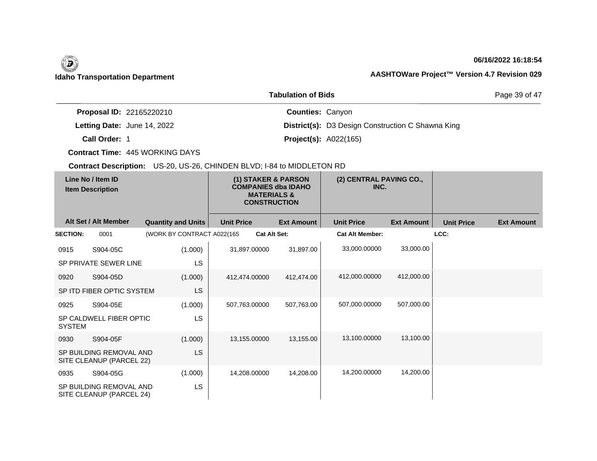## **06/16/2022 16:18:54**

Page 39 of 47

|                                 | <b>Tabulation of Bids</b>                                |
|---------------------------------|----------------------------------------------------------|
| <b>Proposal ID: 22165220210</b> | <b>Counties: Canyon</b>                                  |
| Letting Date: June 14, 2022     | <b>District(s):</b> D3 Design Construction C Shawna King |
| Call Order: 1                   | <b>Project(s): A022(165)</b>                             |

**Contract Time:** 445 WORKING DAYS

| Line No / Item ID<br><b>Item Description</b> |                                                     |                            | (1) STAKER & PARSON<br><b>COMPANIES dba IDAHO</b><br><b>MATERIALS &amp;</b><br><b>CONSTRUCTION</b> |                     |                   | (2) CENTRAL PAVING CO.,<br>INC. |                   |                   |                   |
|----------------------------------------------|-----------------------------------------------------|----------------------------|----------------------------------------------------------------------------------------------------|---------------------|-------------------|---------------------------------|-------------------|-------------------|-------------------|
|                                              | Alt Set / Alt Member                                | <b>Quantity and Units</b>  | <b>Unit Price</b>                                                                                  |                     | <b>Ext Amount</b> | <b>Unit Price</b>               | <b>Ext Amount</b> | <b>Unit Price</b> | <b>Ext Amount</b> |
| <b>SECTION:</b>                              | 0001                                                | (WORK BY CONTRACT A022(165 |                                                                                                    | <b>Cat Alt Set:</b> |                   | <b>Cat Alt Member:</b>          |                   | LCC:              |                   |
| 0915                                         | S904-05C                                            | (1.000)                    |                                                                                                    | 31.897.00000        | 31,897.00         | 33,000.00000                    | 33,000.00         |                   |                   |
|                                              | SP PRIVATE SEWER LINE                               | LS                         |                                                                                                    |                     |                   |                                 |                   |                   |                   |
| 0920                                         | S904-05D                                            | (1.000)                    |                                                                                                    | 412,474.00000       | 412,474.00        | 412,000.00000                   | 412,000.00        |                   |                   |
|                                              | SP ITD FIBER OPTIC SYSTEM                           | <b>LS</b>                  |                                                                                                    |                     |                   |                                 |                   |                   |                   |
| 0925                                         | S904-05E                                            | (1.000)                    |                                                                                                    | 507,763.00000       | 507,763.00        | 507,000.00000                   | 507,000.00        |                   |                   |
| <b>SYSTEM</b>                                | SP CALDWELL FIBER OPTIC                             | <b>LS</b>                  |                                                                                                    |                     |                   |                                 |                   |                   |                   |
| 0930                                         | S904-05F                                            | (1.000)                    |                                                                                                    | 13,155.00000        | 13,155.00         | 13,100.00000                    | 13,100.00         |                   |                   |
|                                              | SP BUILDING REMOVAL AND<br>SITE CLEANUP (PARCEL 22) | <b>LS</b>                  |                                                                                                    |                     |                   |                                 |                   |                   |                   |
| 0935                                         | S904-05G                                            | (1.000)                    |                                                                                                    | 14,208.00000        | 14,208.00         | 14,200.00000                    | 14,200.00         |                   |                   |
|                                              | SP BUILDING REMOVAL AND<br>SITE CLEANUP (PARCEL 24) | <b>LS</b>                  |                                                                                                    |                     |                   |                                 |                   |                   |                   |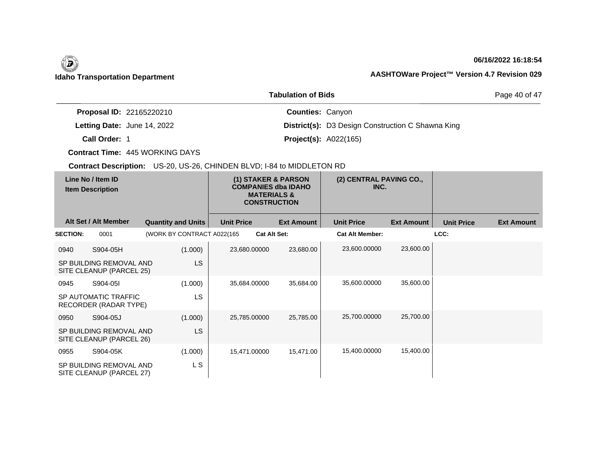## **06/16/2022 16:18:54**

Page 40 of 47

|                                 | <b>Tabulation of Bids</b>                                |
|---------------------------------|----------------------------------------------------------|
| <b>Proposal ID: 22165220210</b> | <b>Counties: Canyon</b>                                  |
| Letting Date: June 14, 2022     | <b>District(s):</b> D3 Design Construction C Shawna King |
| Call Order: 1                   | <b>Project(s): A022(165)</b>                             |

**Contract Time:** 445 WORKING DAYS

| Line No / Item ID<br><b>Item Description</b> |                                                     | (1) STAKER & PARSON<br><b>COMPANIES dba IDAHO</b><br><b>MATERIALS &amp;</b><br><b>CONSTRUCTION</b> |                   |                     | (2) CENTRAL PAVING CO.,<br>INC. |                        |                   |                   |                   |
|----------------------------------------------|-----------------------------------------------------|----------------------------------------------------------------------------------------------------|-------------------|---------------------|---------------------------------|------------------------|-------------------|-------------------|-------------------|
|                                              | Alt Set / Alt Member                                | <b>Quantity and Units</b>                                                                          | <b>Unit Price</b> |                     | <b>Ext Amount</b>               | <b>Unit Price</b>      | <b>Ext Amount</b> | <b>Unit Price</b> | <b>Ext Amount</b> |
| <b>SECTION:</b>                              | 0001                                                | (WORK BY CONTRACT A022(165)                                                                        |                   | <b>Cat Alt Set:</b> |                                 | <b>Cat Alt Member:</b> |                   | LCC:              |                   |
| 0940                                         | S904-05H                                            | (1.000)                                                                                            | 23,680.00000      |                     | 23,680.00                       | 23,600.00000           | 23,600.00         |                   |                   |
|                                              | SP BUILDING REMOVAL AND<br>SITE CLEANUP (PARCEL 25) | LS                                                                                                 |                   |                     |                                 |                        |                   |                   |                   |
| 0945                                         | S904-05I                                            | (1.000)                                                                                            | 35,684.00000      |                     | 35,684.00                       | 35,600.00000           | 35,600.00         |                   |                   |
|                                              | SP AUTOMATIC TRAFFIC<br>RECORDER (RADAR TYPE)       | LS.                                                                                                |                   |                     |                                 |                        |                   |                   |                   |
| 0950                                         | S904-05J                                            | (1.000)                                                                                            | 25,785.00000      |                     | 25,785.00                       | 25,700.00000           | 25,700.00         |                   |                   |
|                                              | SP BUILDING REMOVAL AND<br>SITE CLEANUP (PARCEL 26) | LS                                                                                                 |                   |                     |                                 |                        |                   |                   |                   |
| 0955                                         | S904-05K                                            | (1.000)                                                                                            | 15,471.00000      |                     | 15,471.00                       | 15,400.00000           | 15,400.00         |                   |                   |
|                                              | SP BUILDING REMOVAL AND<br>SITE CLEANUP (PARCEL 27) | L S                                                                                                |                   |                     |                                 |                        |                   |                   |                   |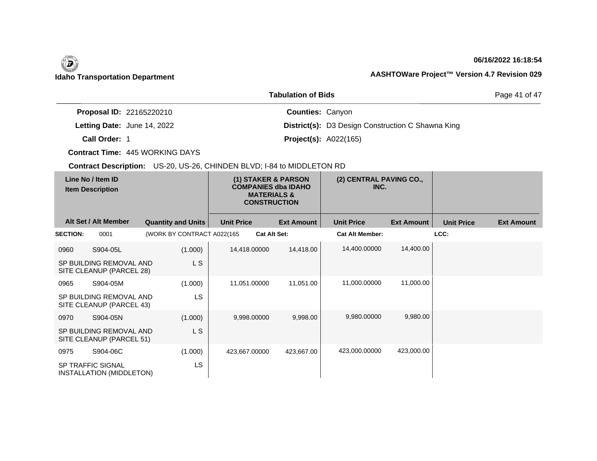## **06/16/2022 16:18:54**

Page 41 of 47

|                                    | <b>Tabulation of Bids</b>                                |
|------------------------------------|----------------------------------------------------------|
| <b>Proposal ID: 22165220210</b>    | <b>Counties: Canyon</b>                                  |
| <b>Letting Date: June 14, 2022</b> | <b>District(s):</b> D3 Design Construction C Shawna King |
| Call Order: 1                      | <b>Project(s): A022(165)</b>                             |

**Contract Time:** 445 WORKING DAYS

| Line No / Item ID<br><b>Item Description</b> |                                                      |                            | (1) STAKER & PARSON<br><b>COMPANIES dba IDAHO</b><br><b>MATERIALS &amp;</b><br><b>CONSTRUCTION</b> | (2) CENTRAL PAVING CO.,<br>INC. |                        |                   |                   |                   |
|----------------------------------------------|------------------------------------------------------|----------------------------|----------------------------------------------------------------------------------------------------|---------------------------------|------------------------|-------------------|-------------------|-------------------|
|                                              | Alt Set / Alt Member                                 | <b>Quantity and Units</b>  | <b>Unit Price</b>                                                                                  | <b>Ext Amount</b>               | <b>Unit Price</b>      | <b>Ext Amount</b> | <b>Unit Price</b> | <b>Ext Amount</b> |
| <b>SECTION:</b>                              | 0001                                                 | (WORK BY CONTRACT A022(165 |                                                                                                    | <b>Cat Alt Set:</b>             | <b>Cat Alt Member:</b> |                   | LCC:              |                   |
| 0960                                         | S904-05L                                             | (1.000)                    | 14,418.00000                                                                                       | 14,418.00                       | 14,400.00000           | 14,400.00         |                   |                   |
|                                              | SP BUILDING REMOVAL AND<br>SITE CLEANUP (PARCEL 28)  | L S                        |                                                                                                    |                                 |                        |                   |                   |                   |
| 0965                                         | S904-05M                                             | (1.000)                    | 11,051.00000                                                                                       | 11,051.00                       | 11,000.00000           | 11,000.00         |                   |                   |
|                                              | SP BUILDING REMOVAL AND<br>SITE CLEANUP (PARCEL 43)  | <b>LS</b>                  |                                                                                                    |                                 |                        |                   |                   |                   |
| 0970                                         | S904-05N                                             | (1.000)                    | 9,998.00000                                                                                        | 9,998.00                        | 9,980.00000            | 9,980.00          |                   |                   |
|                                              | SP BUILDING REMOVAL AND<br>SITE CLEANUP (PARCEL 51)  | L S                        |                                                                                                    |                                 |                        |                   |                   |                   |
| 0975                                         | S904-06C                                             | (1.000)                    | 423,667.00000                                                                                      | 423,667.00                      | 423,000.00000          | 423,000.00        |                   |                   |
|                                              | <b>SP TRAFFIC SIGNAL</b><br>INSTALLATION (MIDDLETON) | <b>LS</b>                  |                                                                                                    |                                 |                        |                   |                   |                   |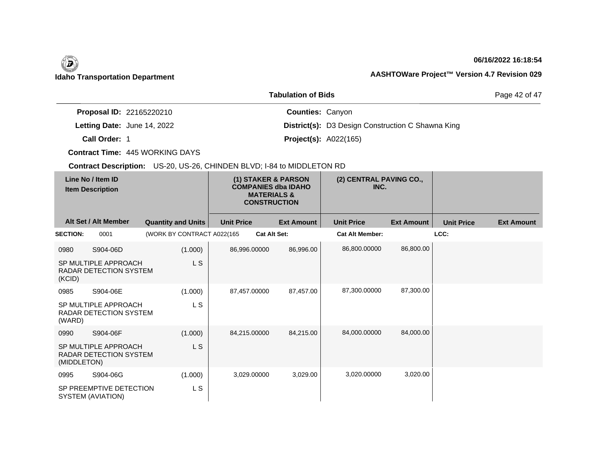## **06/16/2022 16:18:54**

Page 42 of 47

|                                 | <b>Tabulation of Bids</b>                                |
|---------------------------------|----------------------------------------------------------|
| <b>Proposal ID: 22165220210</b> | <b>Counties: Canyon</b>                                  |
| Letting Date: June 14, 2022     | <b>District(s):</b> D3 Design Construction C Shawna King |
| Call Order: 1                   | <b>Project(s): A022(165)</b>                             |

**Contract Time:** 445 WORKING DAYS

| Line No / Item ID<br><b>Item Description</b> |                                                       | (1) STAKER & PARSON<br><b>COMPANIES dba IDAHO</b><br><b>MATERIALS &amp;</b><br><b>CONSTRUCTION</b> |                   | (2) CENTRAL PAVING CO.,<br>INC. |                   |                        |                   |                   |                   |
|----------------------------------------------|-------------------------------------------------------|----------------------------------------------------------------------------------------------------|-------------------|---------------------------------|-------------------|------------------------|-------------------|-------------------|-------------------|
|                                              | Alt Set / Alt Member                                  | <b>Quantity and Units</b>                                                                          | <b>Unit Price</b> |                                 | <b>Ext Amount</b> | <b>Unit Price</b>      | <b>Ext Amount</b> | <b>Unit Price</b> | <b>Ext Amount</b> |
| <b>SECTION:</b>                              | 0001                                                  | (WORK BY CONTRACT A022(165)                                                                        |                   | <b>Cat Alt Set:</b>             |                   | <b>Cat Alt Member:</b> |                   | LCC:              |                   |
| 0980                                         | S904-06D                                              | (1.000)                                                                                            | 86,996.00000      |                                 | 86,996.00         | 86,800.00000           | 86,800.00         |                   |                   |
| (KCID)                                       | SP MULTIPLE APPROACH<br><b>RADAR DETECTION SYSTEM</b> | L S                                                                                                |                   |                                 |                   |                        |                   |                   |                   |
| 0985                                         | S904-06E                                              | (1.000)                                                                                            | 87,457.00000      |                                 | 87,457.00         | 87,300.00000           | 87,300.00         |                   |                   |
| (WARD)                                       | SP MULTIPLE APPROACH<br>RADAR DETECTION SYSTEM        | L S                                                                                                |                   |                                 |                   |                        |                   |                   |                   |
| 0990                                         | S904-06F                                              | (1.000)                                                                                            | 84,215.00000      |                                 | 84,215.00         | 84,000.00000           | 84,000.00         |                   |                   |
| (MIDDLETON)                                  | SP MULTIPLE APPROACH<br><b>RADAR DETECTION SYSTEM</b> | L S                                                                                                |                   |                                 |                   |                        |                   |                   |                   |
| 0995                                         | S904-06G                                              | (1.000)                                                                                            |                   | 3,029.00000                     | 3,029.00          | 3,020.00000            | 3,020.00          |                   |                   |
|                                              | SP PREEMPTIVE DETECTION<br>SYSTEM (AVIATION)          | L S                                                                                                |                   |                                 |                   |                        |                   |                   |                   |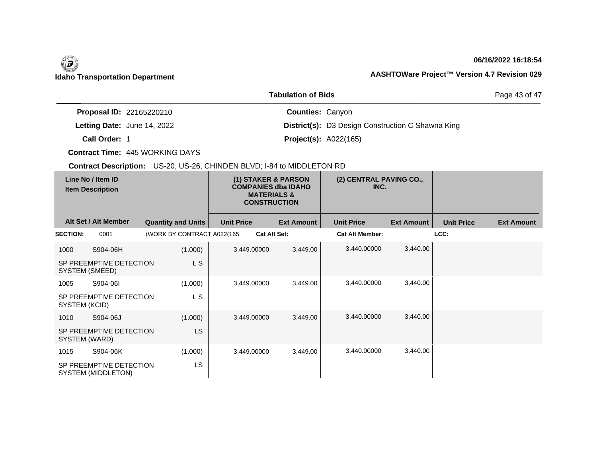## **06/16/2022 16:18:54**

Page 43 of 47

|                                 | <b>Tabulation of Bids</b>                                |
|---------------------------------|----------------------------------------------------------|
| <b>Proposal ID: 22165220210</b> | <b>Counties: Canyon</b>                                  |
| Letting Date: June 14, 2022     | <b>District(s):</b> D3 Design Construction C Shawna King |
| Call Order: 1                   | <b>Project(s): A022(165)</b>                             |

**Contract Time:** 445 WORKING DAYS

| Line No / Item ID<br><b>Item Description</b> |                                               | (1) STAKER & PARSON<br><b>COMPANIES dba IDAHO</b><br><b>MATERIALS &amp;</b><br><b>CONSTRUCTION</b> |                   | (2) CENTRAL PAVING CO.,<br>INC. |                        |                   |                   |                   |
|----------------------------------------------|-----------------------------------------------|----------------------------------------------------------------------------------------------------|-------------------|---------------------------------|------------------------|-------------------|-------------------|-------------------|
|                                              | Alt Set / Alt Member                          | <b>Quantity and Units</b>                                                                          | <b>Unit Price</b> | <b>Ext Amount</b>               | <b>Unit Price</b>      | <b>Ext Amount</b> | <b>Unit Price</b> | <b>Ext Amount</b> |
| <b>SECTION:</b>                              | 0001                                          | (WORK BY CONTRACT A022(165                                                                         |                   | <b>Cat Alt Set:</b>             | <b>Cat Alt Member:</b> |                   | LCC:              |                   |
| 1000                                         | S904-06H                                      | (1.000)                                                                                            | 3,449.00000       | 3,449.00                        | 3,440.00000            | 3,440.00          |                   |                   |
| SYSTEM (SMEED)                               | SP PREEMPTIVE DETECTION                       | L S                                                                                                |                   |                                 |                        |                   |                   |                   |
| 1005                                         | S904-06I                                      | (1.000)                                                                                            | 3,449.00000       | 3,449.00                        | 3,440.00000            | 3,440.00          |                   |                   |
| SYSTEM (KCID)                                | SP PREEMPTIVE DETECTION                       | L S                                                                                                |                   |                                 |                        |                   |                   |                   |
| 1010                                         | S904-06J                                      | (1.000)                                                                                            | 3,449.00000       | 3,449.00                        | 3,440.00000            | 3,440.00          |                   |                   |
| SYSTEM (WARD)                                | SP PREEMPTIVE DETECTION                       | LS                                                                                                 |                   |                                 |                        |                   |                   |                   |
| 1015                                         | S904-06K                                      | (1.000)                                                                                            | 3,449.00000       | 3,449.00                        | 3,440.00000            | 3,440.00          |                   |                   |
|                                              | SP PREEMPTIVE DETECTION<br>SYSTEM (MIDDLETON) | LS                                                                                                 |                   |                                 |                        |                   |                   |                   |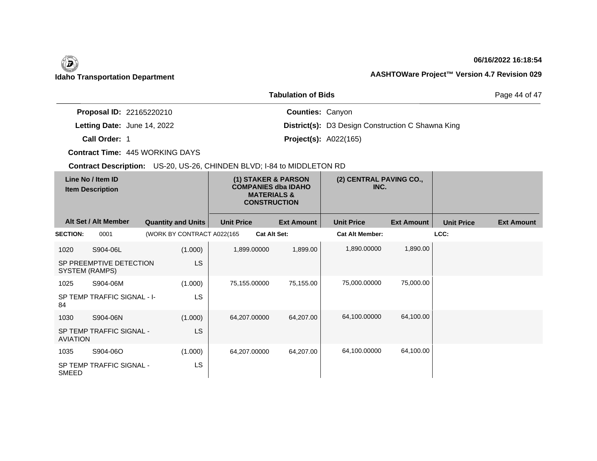## **06/16/2022 16:18:54**

Page 44 of 47

|                                 | <b>Tabulation of Bids</b>                                |
|---------------------------------|----------------------------------------------------------|
| <b>Proposal ID: 22165220210</b> | <b>Counties: Canyon</b>                                  |
| Letting Date: June 14, 2022     | <b>District(s):</b> D3 Design Construction C Shawna King |
| Call Order: 1                   | <b>Project(s): A022(165)</b>                             |

**Contract Time:** 445 WORKING DAYS

| Line No / Item ID<br><b>Item Description</b> |                             | (1) STAKER & PARSON<br><b>COMPANIES dba IDAHO</b><br><b>MATERIALS &amp;</b><br><b>CONSTRUCTION</b> |                   |                     | (2) CENTRAL PAVING CO.,<br>INC. |                   |                   |                   |
|----------------------------------------------|-----------------------------|----------------------------------------------------------------------------------------------------|-------------------|---------------------|---------------------------------|-------------------|-------------------|-------------------|
|                                              | Alt Set / Alt Member        | <b>Quantity and Units</b>                                                                          | <b>Unit Price</b> | <b>Ext Amount</b>   | <b>Unit Price</b>               | <b>Ext Amount</b> | <b>Unit Price</b> | <b>Ext Amount</b> |
| <b>SECTION:</b>                              | 0001                        | (WORK BY CONTRACT A022(165                                                                         |                   | <b>Cat Alt Set:</b> | <b>Cat Alt Member:</b>          |                   | LCC:              |                   |
| 1020                                         | S904-06L                    | (1.000)                                                                                            | 1,899.00000       | 1,899.00            | 1,890.00000                     | 1,890.00          |                   |                   |
| SYSTEM (RAMPS)                               | SP PREEMPTIVE DETECTION     | LS.                                                                                                |                   |                     |                                 |                   |                   |                   |
| 1025                                         | S904-06M                    | (1.000)                                                                                            | 75,155.00000      | 75,155.00           | 75,000.00000                    | 75,000.00         |                   |                   |
| 84                                           | SP TEMP TRAFFIC SIGNAL - I- | LS                                                                                                 |                   |                     |                                 |                   |                   |                   |
| 1030                                         | S904-06N                    | (1.000)                                                                                            | 64,207.00000      | 64,207.00           | 64,100.00000                    | 64,100.00         |                   |                   |
| <b>AVIATION</b>                              | SP TEMP TRAFFIC SIGNAL -    | <b>LS</b>                                                                                          |                   |                     |                                 |                   |                   |                   |
| 1035                                         | S904-06O                    | (1.000)                                                                                            | 64,207.00000      | 64,207.00           | 64,100.00000                    | 64,100.00         |                   |                   |
| <b>SMEED</b>                                 | SP TEMP TRAFFIC SIGNAL -    | LS                                                                                                 |                   |                     |                                 |                   |                   |                   |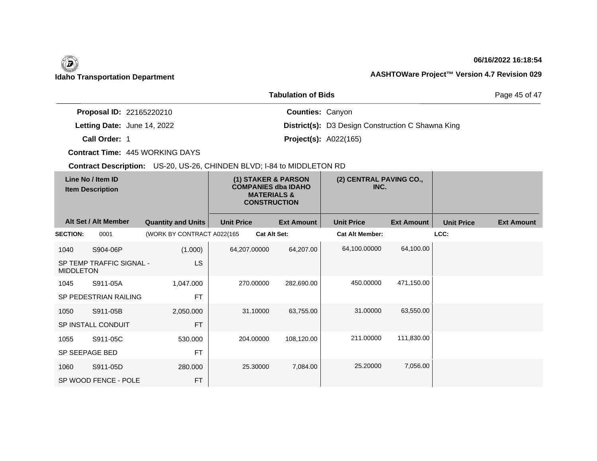## **06/16/2022 16:18:54**

Page 45 of 47

|                                 | <b>Tabulation of Bids</b>                                |
|---------------------------------|----------------------------------------------------------|
| <b>Proposal ID: 22165220210</b> | <b>Counties: Canyon</b>                                  |
| Letting Date: June 14, 2022     | <b>District(s):</b> D3 Design Construction C Shawna King |
| Call Order: 1                   | <b>Project(s): A022(165)</b>                             |

**Contract Time:** 445 WORKING DAYS

| Line No / Item ID<br><b>Item Description</b> |                          | (1) STAKER & PARSON<br><b>COMPANIES dba IDAHO</b><br><b>MATERIALS &amp;</b><br><b>CONSTRUCTION</b> |                   | (2) CENTRAL PAVING CO.,<br>INC. |                        |                   |                   |                   |
|----------------------------------------------|--------------------------|----------------------------------------------------------------------------------------------------|-------------------|---------------------------------|------------------------|-------------------|-------------------|-------------------|
|                                              | Alt Set / Alt Member     | <b>Quantity and Units</b>                                                                          | <b>Unit Price</b> | <b>Ext Amount</b>               | <b>Unit Price</b>      | <b>Ext Amount</b> | <b>Unit Price</b> | <b>Ext Amount</b> |
| <b>SECTION:</b>                              | 0001                     | (WORK BY CONTRACT A022(165                                                                         |                   | <b>Cat Alt Set:</b>             | <b>Cat Alt Member:</b> |                   | LCC:              |                   |
| 1040                                         | S904-06P                 | (1.000)                                                                                            | 64,207.00000      | 64,207.00                       | 64,100.00000           | 64,100.00         |                   |                   |
| <b>MIDDLETON</b>                             | SP TEMP TRAFFIC SIGNAL - | LS                                                                                                 |                   |                                 |                        |                   |                   |                   |
| 1045                                         | S911-05A                 | 1,047.000                                                                                          | 270.00000         | 282,690.00                      | 450.00000              | 471,150.00        |                   |                   |
|                                              | SP PEDESTRIAN RAILING    | <b>FT</b>                                                                                          |                   |                                 |                        |                   |                   |                   |
| 1050                                         | S911-05B                 | 2,050.000                                                                                          | 31.10000          | 63,755.00                       | 31.00000               | 63,550.00         |                   |                   |
|                                              | SP INSTALL CONDUIT       | <b>FT</b>                                                                                          |                   |                                 |                        |                   |                   |                   |
| 1055                                         | S911-05C                 | 530.000                                                                                            | 204.00000         | 108,120.00                      | 211.00000              | 111,830.00        |                   |                   |
| SP SEEPAGE BED                               |                          | <b>FT</b>                                                                                          |                   |                                 |                        |                   |                   |                   |
| 1060                                         | S911-05D                 | 280.000                                                                                            | 25.30000          | 7,084.00                        | 25.20000               | 7,056.00          |                   |                   |
|                                              | SP WOOD FENCE - POLE     | <b>FT</b>                                                                                          |                   |                                 |                        |                   |                   |                   |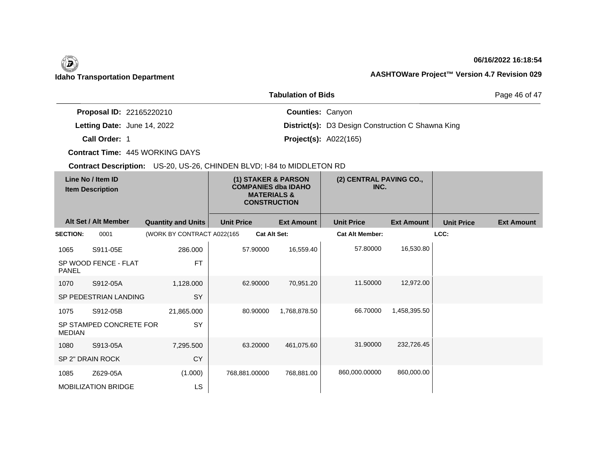## **06/16/2022 16:18:54**

Page 46 of 47

|                                    | <b>Tabulation of Bids</b>                                |
|------------------------------------|----------------------------------------------------------|
| <b>Proposal ID: 22165220210</b>    | <b>Counties: Canyon</b>                                  |
| <b>Letting Date: June 14, 2022</b> | <b>District(s):</b> D3 Design Construction C Shawna King |
| Call Order: 1                      | <b>Project(s): A022(165)</b>                             |

**Contract Time:** 445 WORKING DAYS

| Line No / Item ID<br><b>Item Description</b> |                            | (1) STAKER & PARSON<br><b>COMPANIES dba IDAHO</b><br><b>MATERIALS &amp;</b><br><b>CONSTRUCTION</b> |                     | (2) CENTRAL PAVING CO.,<br>INC. |                        |                   |                   |                   |
|----------------------------------------------|----------------------------|----------------------------------------------------------------------------------------------------|---------------------|---------------------------------|------------------------|-------------------|-------------------|-------------------|
|                                              | Alt Set / Alt Member       | <b>Quantity and Units</b>                                                                          | <b>Unit Price</b>   | <b>Ext Amount</b>               | <b>Unit Price</b>      | <b>Ext Amount</b> | <b>Unit Price</b> | <b>Ext Amount</b> |
| <b>SECTION:</b>                              | 0001                       | (WORK BY CONTRACT A022(165                                                                         | <b>Cat Alt Set:</b> |                                 | <b>Cat Alt Member:</b> |                   | LCC:              |                   |
| 1065                                         | S911-05E                   | 286.000                                                                                            | 57.90000            | 16,559.40                       | 57.80000               | 16,530.80         |                   |                   |
| <b>PANEL</b>                                 | SP WOOD FENCE - FLAT       | <b>FT</b>                                                                                          |                     |                                 |                        |                   |                   |                   |
| 1070                                         | S912-05A                   | 1,128.000                                                                                          | 62.90000            | 70,951.20                       | 11.50000               | 12,972.00         |                   |                   |
|                                              | SP PEDESTRIAN LANDING      | SY                                                                                                 |                     |                                 |                        |                   |                   |                   |
| 1075                                         | S912-05B                   | 21,865.000                                                                                         | 80.90000            | 1,768,878.50                    | 66.70000               | 1,458,395.50      |                   |                   |
| <b>MEDIAN</b>                                | SP STAMPED CONCRETE FOR    | SY                                                                                                 |                     |                                 |                        |                   |                   |                   |
| 1080                                         | S913-05A                   | 7,295.500                                                                                          | 63.20000            | 461,075.60                      | 31.90000               | 232,726.45        |                   |                   |
|                                              | SP 2" DRAIN ROCK           | <b>CY</b>                                                                                          |                     |                                 |                        |                   |                   |                   |
| 1085                                         | Z629-05A                   | (1.000)                                                                                            | 768,881.00000       | 768,881.00                      | 860,000.00000          | 860,000.00        |                   |                   |
|                                              | <b>MOBILIZATION BRIDGE</b> | LS                                                                                                 |                     |                                 |                        |                   |                   |                   |